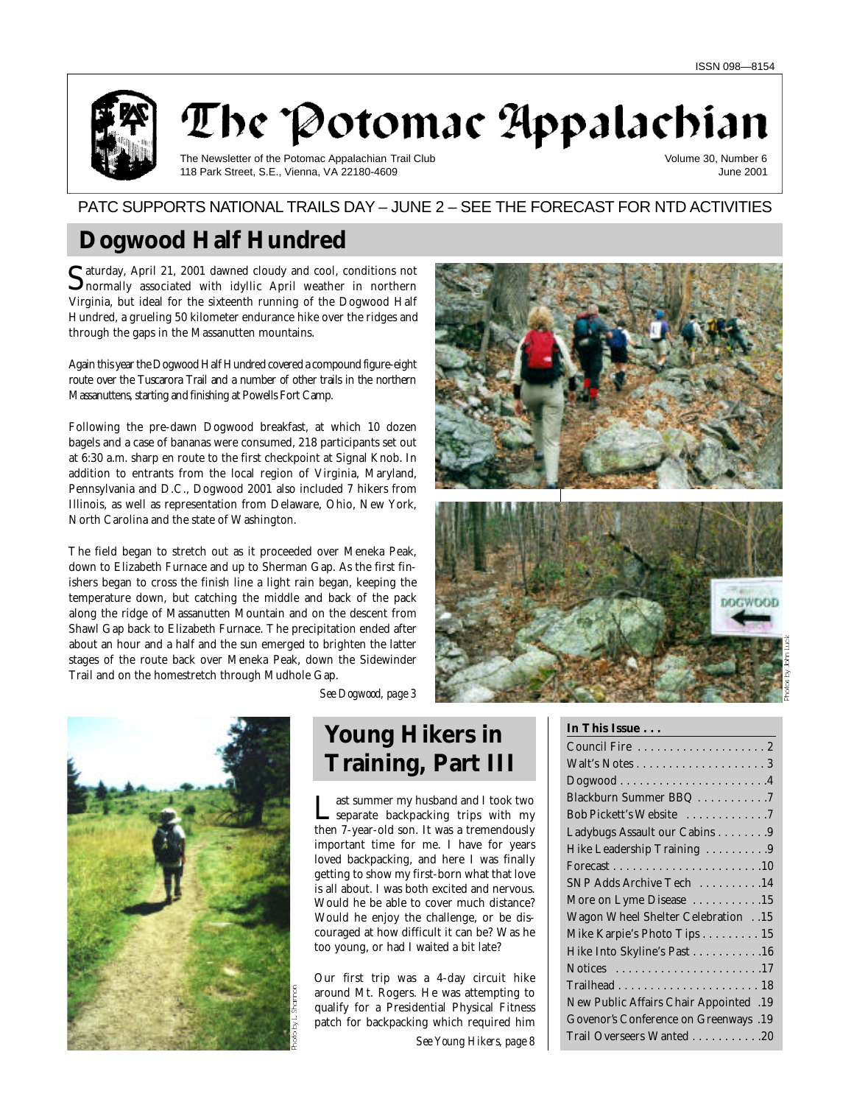

The Potomac Appalachian

The Newsletter of the Potomac Appalachian Trail Club 118 Park Street, S.E., Vienna, VA 22180-4609

Volume 30, Number 6 June 2001

# PATC SUPPORTS NATIONAL TRAILS DAY - JUNE 2 - SEE THE FORECAST FOR NTD ACTIVITIES

# **Dogwood Half Hundred**

Saturday, April 21, 2001 dawned cloudy and cool, conditions not<br>Solnormally associated with idyllic April weather in northern normally associated with idyllic April weather in northern Virginia, but ideal for the sixteenth running of the Dogwood Half Hundred, a grueling 50 kilometer endurance hike over the ridges and through the gaps in the Massanutten mountains.

Again this year the Dogwood Half Hundred covered a compound figure-eight route over the Tuscarora Trail and a number of other trails in the northern Massanuttens, starting and finishing at Powells Fort Camp.

Following the pre-dawn Dogwood breakfast, at which 10 dozen bagels and a case of bananas were consumed, 218 participants set out at 6:30 a.m. sharp en route to the first checkpoint at Signal Knob. In addition to entrants from the local region of Virginia, Maryland, Pennsylvania and D.C., Dogwood 2001 also included 7 hikers from Illinois, as well as representation from Delaware, Ohio, New York, North Carolina and the state of Washington.

The field began to stretch out as it proceeded over Meneka Peak, down to Elizabeth Furnace and up to Sherman Gap. As the first finishers began to cross the finish line a light rain began, keeping the temperature down, but catching the middle and back of the pack along the ridge of Massanutten Mountain and on the descent from Shawl Gap back to Elizabeth Furnace. The precipitation ended after about an hour and a half and the sun emerged to brighten the latter stages of the route back over Meneka Peak, down the Sidewinder Trail and on the homestretch through Mudhole Gap.

![](_page_0_Picture_11.jpeg)

*See Dogwood, page 3*

# **Young Hikers in Training, Part III**

Last summer my husband and I took two<br>
separate backpacking trips with my<br>
then 7-year-old son. It was a tremendously ast summer my husband and I took two separate backpacking trips with my important time for me. I have for years loved backpacking, and here I was finally getting to show my first-born what that love is all about. I was both excited and nervous. Would he be able to cover much distance? Would he enjoy the challenge, or be discouraged at how difficult it can be? Was he too young, or had I waited a bit late?

Our first trip was a 4-day circuit hike around Mt. Rogers. He was attempting to qualify for a Presidential Physical Fitness patch for backpacking which required him

*See Young Hikers, page 8*

![](_page_0_Picture_18.jpeg)

## **In This Issue . . .**

| $Dogwood \ldots \ldots \ldots \ldots \ldots \ldots 4$ |
|-------------------------------------------------------|
| Blackburn Summer BBQ 7                                |
| Bob Pickett's Website 7                               |
| Ladybugs Assault our Cabins 9                         |
| Hike Leadership Training  9                           |
|                                                       |
| SNP Adds Archive Tech 14                              |
| More on Lyme Disease 15                               |
| 15. Wagon Wheel Shelter Celebration .15               |
| Mike Karpie's Photo Tips 15                           |
| Hike Into Skyline's Past 16                           |
|                                                       |
|                                                       |
| 19. New Public Affairs Chair Appointed                |
| Govenor's Conference on Greenways .19                 |
| Trail Overseers Wanted 20                             |
|                                                       |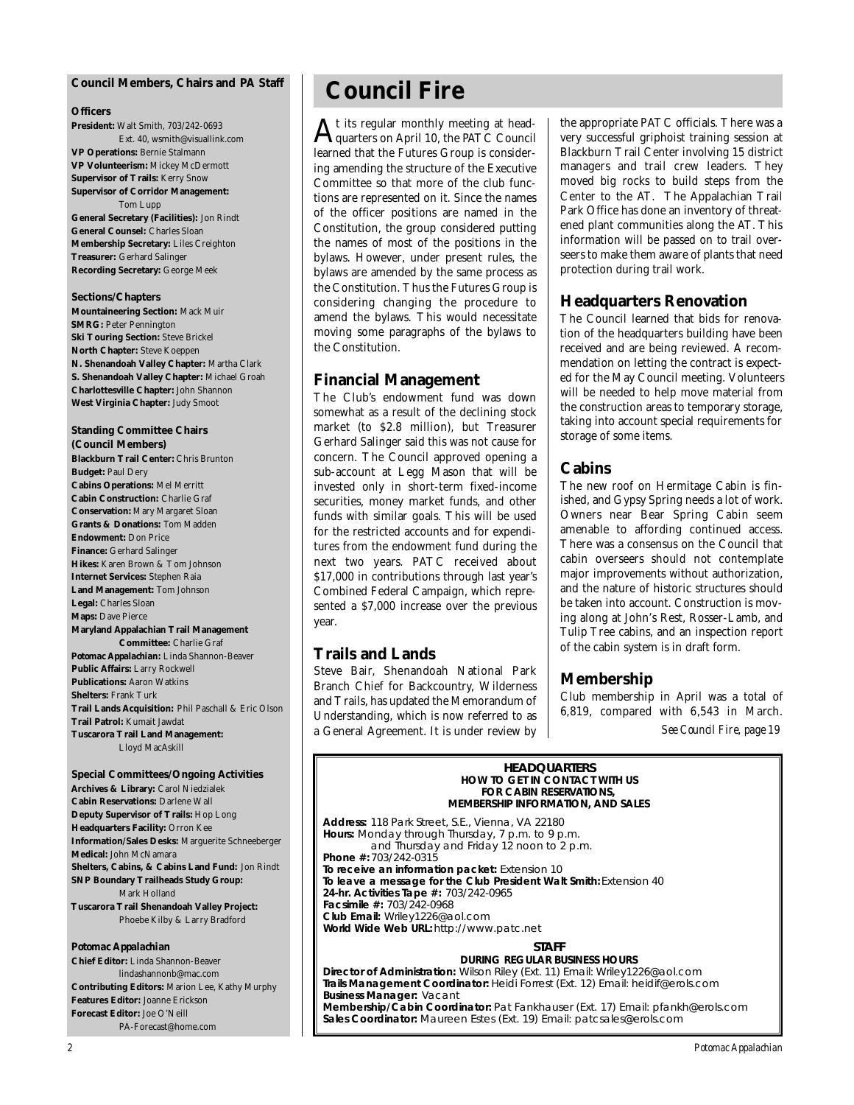### **Council Members, Chairs and** *PA* **Staff**

### **Officers**

**President:** Walt Smith, 703/242-0693 Ext. 40, wsmith@visuallink.com **VP Operations:** Bernie Stalmann **VP Volunteerism:** Mickey McDermott **Supervisor of Trails:** Kerry Snow **Supervisor of Corridor Management:** Tom Lupp **General Secretary (Facilities):** Jon Rindt

**General Counsel:** Charles Sloan **Membership Secretary:** Liles Creighton **Treasurer:** Gerhard Salinger **Recording Secretary:** George Meek

### **Sections/Chapters**

**Mountaineering Section:** Mack Muir **SMRG:** Peter Pennington **Ski Touring Section: Steve Brickel North Chapter:** Steve Koeppen **N. Shenandoah Valley Chapter:** Martha Clark **S. Shenandoah Valley Chapter:** Michael Groah **Charlottesville Chapter:** John Shannon **West Virginia Chapter:** Judy Smoot

## **Standing Committee Chairs**

**(Council Members) Blackburn Trail Center:** Chris Brunton **Budget:** Paul Dery **Cabins Operations:** Mel Merritt **Cabin Construction:** Charlie Graf **Conservation:** Mary Margaret Sloan **Grants & Donations:** Tom Madden **Endowment:** Don Price **Finance:** Gerhard Salinger **Hikes:** Karen Brown & Tom Johnson **Internet Services:** Stephen Raia **Land Management:** Tom Johnson **Legal:** Charles Sloan **Maps:** Dave Pierce **Maryland Appalachian Trail Management Committee:** Charlie Graf *Potomac Appalachian:* Linda Shannon-Beaver **Public Affairs:** Larry Rockwell **Publications:** Aaron Watkins **Shelters:** Frank Turk **Trail Lands Acquisition:** Phil Paschall & Eric Olson **Trail Patrol:** Kumait Jawdat **Tuscarora Trail Land Management:** Lloyd MacAskill

**Special Committees/Ongoing Activities Archives & Library:** Carol Niedzialek **Cabin Reservations:** Darlene Wall **Deputy Supervisor of Trails:** Hop Long **Headquarters Facility:** Orron Kee **Information/Sales Desks:** Marguerite Schneeberger **Medical:** John McNamara **Shelters, Cabins, & Cabins Land Fund:** Jon Rindt **SNP Boundary Trailheads Study Group:** Mark Holland **Tuscarora Trail Shenandoah Valley Project:** Phoebe Kilby & Larry Bradford

### *Potomac Appalachian*

**Chief Editor:** Linda Shannon-Beaver lindashannonb@mac.com **Contributing Editors:** Marion Lee, Kathy Murphy **Features Editor:** Joanne Erickson **Forecast Editor:** Joe O'Neill PA-Forecast@home.com

# **Council Fire**

 ${\rm A}$ t its regular monthly meeting at head-<br>quarters on April 10, the PATC Council quarters on April 10, the PATC Council learned that the Futures Group is considering amending the structure of the Executive Committee so that more of the club functions are represented on it. Since the names of the officer positions are named in the Constitution, the group considered putting the names of most of the positions in the bylaws. However, under present rules, the bylaws are amended by the same process as the Constitution. Thus the Futures Group is considering changing the procedure to amend the bylaws. This would necessitate moving some paragraphs of the bylaws to the Constitution.

### **Financial Management**

The Club's endowment fund was down somewhat as a result of the declining stock market (to \$2.8 million), but Treasurer Gerhard Salinger said this was not cause for concern. The Council approved opening a sub-account at Legg Mason that will be invested only in short-term fixed-income securities, money market funds, and other funds with similar goals. This will be used for the restricted accounts and for expenditures from the endowment fund during the next two years. PATC received about \$17,000 in contributions through last year's Combined Federal Campaign, which represented a \$7,000 increase over the previous year.

## **Trails and Lands**

Steve Bair, Shenandoah National Park Branch Chief for Backcountry, Wilderness and Trails, has updated the Memorandum of Understanding, which is now referred to as a General Agreement. It is under review by

the appropriate PATC officials. There was a very successful griphoist training session at Blackburn Trail Center involving 15 district managers and trail crew leaders. They moved big rocks to build steps from the Center to the AT. The Appalachian Trail Park Office has done an inventory of threatened plant communities along the AT. This information will be passed on to trail overseers to make them aware of plants that need protection during trail work.

## **Headquarters Renovation**

The Council learned that bids for renovation of the headquarters building have been received and are being reviewed. A recommendation on letting the contract is expected for the May Council meeting. Volunteers will be needed to help move material from the construction areas to temporary storage, taking into account special requirements for storage of some items.

## **Cabins**

The new roof on Hermitage Cabin is finished, and Gypsy Spring needs a lot of work. Owners near Bear Spring Cabin seem amenable to affording continued access. There was a consensus on the Council that cabin overseers should not contemplate major improvements without authorization, and the nature of historic structures should be taken into account. Construction is moving along at John's Rest, Rosser-Lamb, and Tulip Tree cabins, and an inspection report of the cabin system is in draft form.

# **Membership**

Club membership in April was a total of 6,819, compared with  $6,543$  in March. *See Council Fire, page 19*

**HEADQUARTERS**<br>HOW TO GET IN CONTACT WITH US **FOR CABIN RESERVATIONS, MEMBERSHIP INFORMATION, AND SALES** 

**MEMBERSHIP INFORMATION, AND SALES Address:** 118 Park Street, S.E., Vienna, VA 22180 **Hours:** Monday through Thursday, 7 p.m. to 7 p.m.<br>and Thursday and Friday 12 poop to 2 p. and Thursday and Friday 12 noon to 2 p.m. **Phone #: 703/242-0315<br>To receive an information packet: Extension 10** To leave a message for the Club President Walt Smith: Extension 40 **24-hr. Activities Tape #: 703/242-0965 Facsimile #: 703/242-0968 Club Email:** Wriley1226@aol.com **Club Email:** Wriley1226@aol.com **World Wide Web URL:** http://www.patc.net

**STAFF<br>DURING REGULAR BUSINESS HOURS** Director of Administration: Wilson Riley (Ext. 11) Email: Wriley1226@aol.com Trails Management Coordinator: Heidi Forrest (Ext. 12) Email: heidif@erols.com **Trails Manager: Vacant** Membership/Cabin Coordinator: Pat Fankhauser (Ext. 17) Email: pfankh@erols.com **Membership/Cabin Coordinator:** Pat Fankhauser (Ext. 17) Email: pfankh@erols.com **Sales Coordinator:** Maureen Estes (Ext. 19) Email: patcsales@erols.com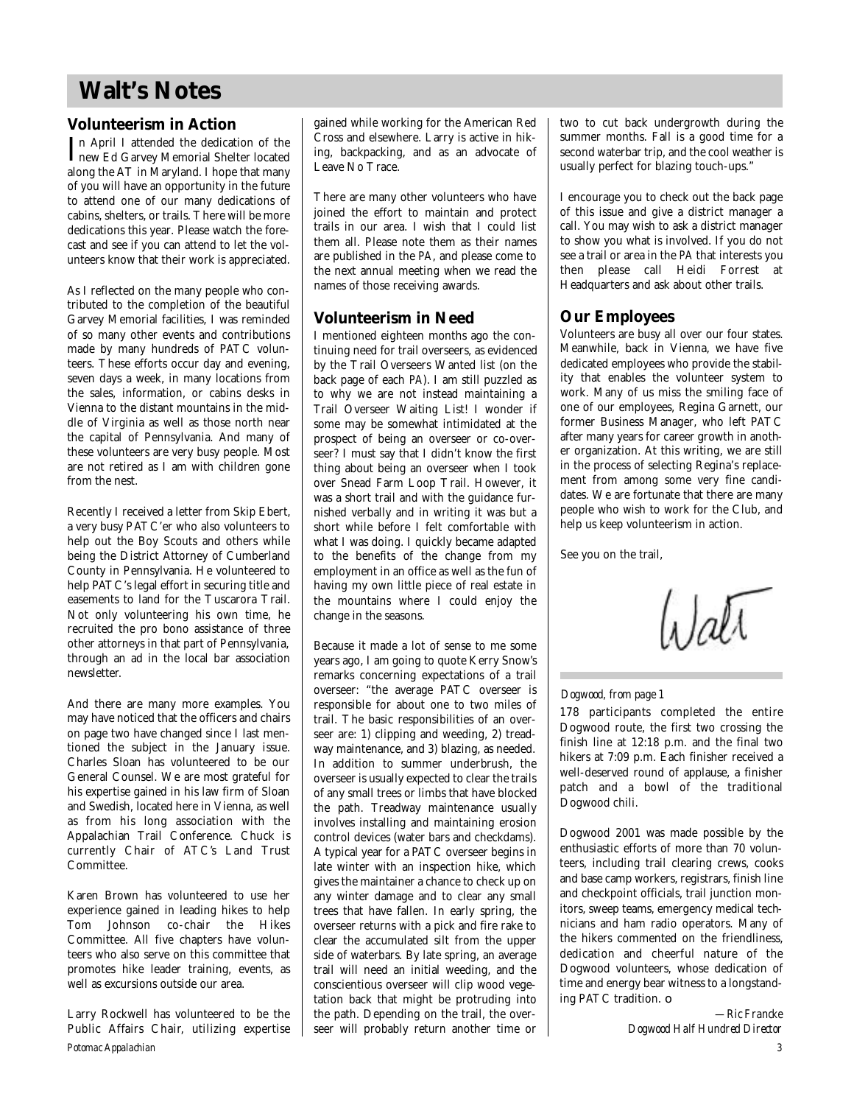# **Walt's Notes**

## **Volunteerism in Action**

In April I attended the dedication of the<br>
new Ed Garvey Memorial Shelter located new Ed Garvey Memorial Shelter located along the AT in Maryland. I hope that many of you will have an opportunity in the future to attend one of our many dedications of cabins, shelters, or trails. There will be more dedications this year. Please watch the forecast and see if you can attend to let the volunteers know that their work is appreciated.

As I reflected on the many people who contributed to the completion of the beautiful Garvey Memorial facilities, I was reminded of so many other events and contributions made by many hundreds of PATC volunteers. These efforts occur day and evening, seven days a week, in many locations from the sales, information, or cabins desks in Vienna to the distant mountains in the middle of Virginia as well as those north near the capital of Pennsylvania. And many of these volunteers are very busy people. Most are not retired as I am with children gone from the nest.

Recently I received a letter from Skip Ebert, a very busy PATC'er who also volunteers to help out the Boy Scouts and others while being the District Attorney of Cumberland County in Pennsylvania. He volunteered to help PATC's legal effort in securing title and easements to land for the Tuscarora Trail. Not only volunteering his own time, he recruited the pro bono assistance of three other attorneys in that part of Pennsylvania, through an ad in the local bar association newsletter.

And there are many more examples. You may have noticed that the officers and chairs on page two have changed since I last mentioned the subject in the January issue. Charles Sloan has volunteered to be our General Counsel. We are most grateful for his expertise gained in his law firm of Sloan and Swedish, located here in Vienna, as well as from his long association with the Appalachian Trail Conference. Chuck is currently Chair of ATC's Land Trust Committee.

Karen Brown has volunteered to use her experience gained in leading hikes to help Tom Johnson co-chair the Hikes Committee. All five chapters have volunteers who also serve on this committee that promotes hike leader training, events, as well as excursions outside our area.

*Potomac Appalachian* Larry Rockwell has volunteered to be the Public Affairs Chair, utilizing expertise gained while working for the American Red Cross and elsewhere. Larry is active in hiking, backpacking, and as an advocate of Leave No Trace.

There are many other volunteers who have joined the effort to maintain and protect trails in our area. I wish that I could list them all. Please note them as their names are published in the *PA*, and please come to the next annual meeting when we read the names of those receiving awards.

## **Volunteerism in Need**

I mentioned eighteen months ago the continuing need for trail overseers, as evidenced by the Trail Overseers Wanted list (on the back page of each *PA*). I am still puzzled as to why we are not instead maintaining a Trail Overseer Waiting List! I wonder if some may be somewhat intimidated at the prospect of being an overseer or co-overseer? I must say that I didn't know the first thing about being an overseer when I took over Snead Farm Loop Trail. However, it was a short trail and with the guidance furnished verbally and in writing it was but a short while before I felt comfortable with what I was doing. I quickly became adapted to the benefits of the change from my employment in an office as well as the fun of having my own little piece of real estate in the mountains where I could enjoy the change in the seasons.

Because it made a lot of sense to me some years ago, I am going to quote Kerry Snow's remarks concerning expectations of a trail overseer: "the average PATC overseer is responsible for about one to two miles of trail. The basic responsibilities of an overseer are: 1) clipping and weeding, 2) treadway maintenance, and 3) blazing, as needed. In addition to summer underbrush, the overseer is usually expected to clear the trails of any small trees or limbs that have blocked the path. Treadway maintenance usually involves installing and maintaining erosion control devices (water bars and checkdams). A typical year for a PATC overseer begins in late winter with an inspection hike, which gives the maintainer a chance to check up on any winter damage and to clear any small trees that have fallen. In early spring, the overseer returns with a pick and fire rake to clear the accumulated silt from the upper side of waterbars. By late spring, an average trail will need an initial weeding, and the conscientious overseer will clip wood vegetation back that might be protruding into the path. Depending on the trail, the overseer will probably return another time or two to cut back undergrowth during the summer months. Fall is a good time for a second waterbar trip, and the cool weather is usually perfect for blazing touch-ups."

I encourage you to check out the back page of this issue and give a district manager a call. You may wish to ask a district manager to show you what is involved. If you do not see a trail or area in the *PA* that interests you then please call Heidi Forrest at Headquarters and ask about other trails.

# **Our Employees**

Volunteers are busy all over our four states. Meanwhile, back in Vienna, we have five dedicated employees who provide the stability that enables the volunteer system to work. Many of us miss the smiling face of one of our employees, Regina Garnett, our former Business Manager, who left PATC after many years for career growth in another organization. At this writing, we are still in the process of selecting Regina's replacement from among some very fine candidates. We are fortunate that there are many people who wish to work for the Club, and help us keep volunteerism in action.

See you on the trail,

Wati

### *Dogwood, from page 1*

178 participants completed the entire Dogwood route, the first two crossing the finish line at 12:18 p.m. and the final two hikers at 7:09 p.m. Each finisher received a well-deserved round of applause, a finisher patch and a bowl of the traditional Dogwood chili.

Dogwood 2001 was made possible by the enthusiastic efforts of more than 70 volunteers, including trail clearing crews, cooks and base camp workers, registrars, finish line and checkpoint officials, trail junction monitors, sweep teams, emergency medical technicians and ham radio operators. Many of the hikers commented on the friendliness, dedication and cheerful nature of the Dogwood volunteers, whose dedication of time and energy bear witness to a longstanding PATC tradition. ❏

> *—Ric Francke Dogwood Half Hundred Director*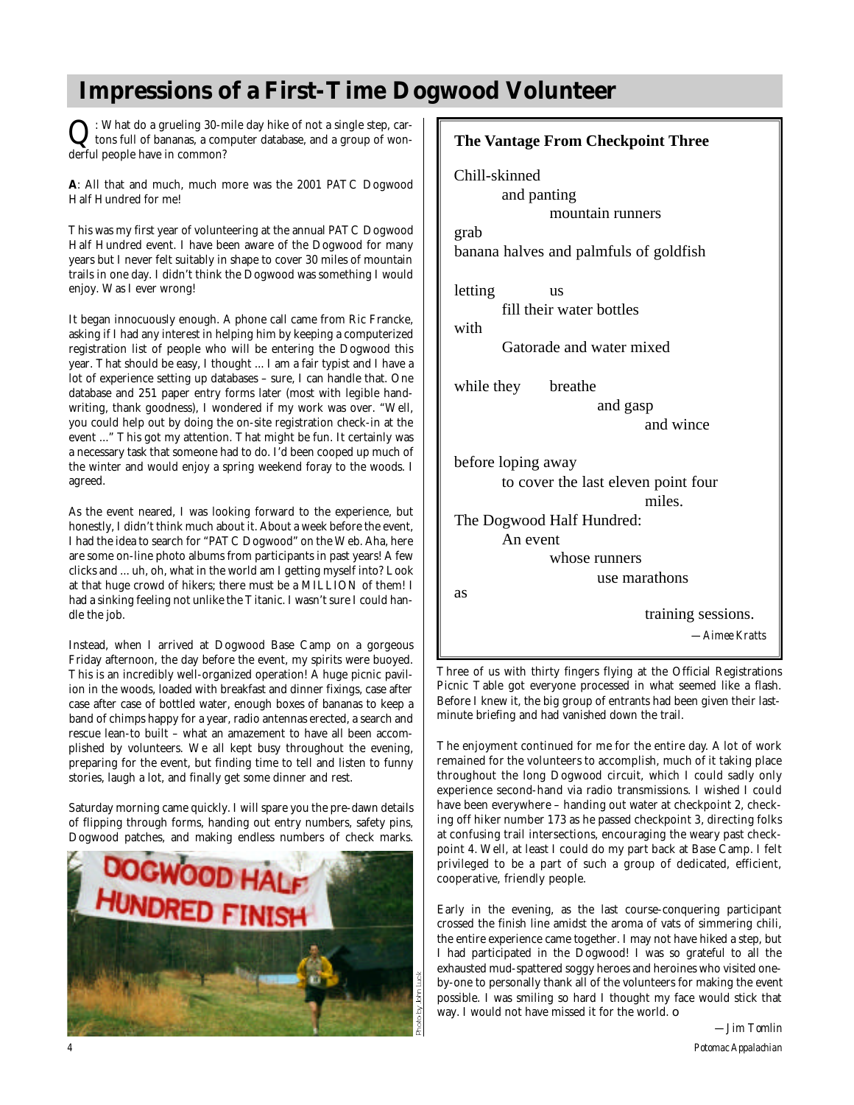# **Impressions of a First-Time Dogwood Volunteer**

Q : What do a grueling 30-mile day hike of not a single step, cartons full of bananas, a computer database, and a group of wonderful people have in common?

**A**: All that and much, much more was the 2001 PATC Dogwood Half Hundred for me!

This was my first year of volunteering at the annual PATC Dogwood Half Hundred event. I have been aware of the Dogwood for many years but I never felt suitably in shape to cover 30 miles of mountain trails in one day. I didn't think the Dogwood was something I would enjoy. Was I ever wrong!

It began innocuously enough. A phone call came from Ric Francke, asking if I had any interest in helping him by keeping a computerized registration list of people who will be entering the Dogwood this year. That should be easy, I thought ... I am a fair typist and I have a lot of experience setting up databases – sure, I can handle that. One database and 251 paper entry forms later (most with legible handwriting, thank goodness), I wondered if my work was over. "Well, you could help out by doing the on-site registration check-in at the event ..." This got my attention. That might be fun. It certainly was a necessary task that someone had to do. I'd been cooped up much of the winter and would enjoy a spring weekend foray to the woods. I agreed.

As the event neared, I was looking forward to the experience, but honestly, I didn't think much about it. About a week before the event, I had the idea to search for "PATC Dogwood" on the Web. Aha, here are some on-line photo albums from participants in past years! A few clicks and ... uh, oh, what in the world am I getting myself into? Look at that huge crowd of hikers; there must be a MILLION of them! I had a sinking feeling not unlike the Titanic. I wasn't sure I could handle the job.

Instead, when I arrived at Dogwood Base Camp on a gorgeous Friday afternoon, the day before the event, my spirits were buoyed. This is an incredibly well-organized operation! A huge picnic pavilion in the woods, loaded with breakfast and dinner fixings, case after case after case of bottled water, enough boxes of bananas to keep a band of chimps happy for a year, radio antennas erected, a search and rescue lean-to built – what an amazement to have all been accomplished by volunteers. We all kept busy throughout the evening, preparing for the event, but finding time to tell and listen to funny stories, laugh a lot, and finally get some dinner and rest.

Saturday morning came quickly. I will spare you the pre-dawn details of flipping through forms, handing out entry numbers, safety pins, Dogwood patches, and making endless numbers of check marks.

![](_page_3_Picture_8.jpeg)

| <b>The Vantage From Checkpoint Three</b>                                                           |
|----------------------------------------------------------------------------------------------------|
| Chill-skinned<br>and panting<br>mountain runners<br>grab<br>banana halves and palmfuls of goldfish |
| letting<br>us<br>fill their water bottles<br>with<br>Gatorade and water mixed                      |
| while they<br>breathe<br>and gasp<br>and wince                                                     |
| before loping away<br>to cover the last eleven point four<br>miles                                 |
| The Dogwood Half Hundred:<br>An event<br>whose runners<br>use marathons                            |
| as<br>training sessions.<br>-Aimee Kratts                                                          |

Three of us with thirty fingers flying at the Official Registrations Picnic Table got everyone processed in what seemed like a flash. Before I knew it, the big group of entrants had been given their lastminute briefing and had vanished down the trail.

The enjoyment continued for me for the entire day. A lot of work remained for the volunteers to accomplish, much of it taking place throughout the long Dogwood circuit, which I could sadly only experience second-hand via radio transmissions. I wished I could have been everywhere - handing out water at checkpoint 2, checking off hiker number 173 as he passed checkpoint 3, directing folks at confusing trail intersections, encouraging the weary past checkpoint 4. Well, at least I could do my part back at Base Camp. I felt privileged to be a part of such a group of dedicated, efficient, cooperative, friendly people.

Early in the evening, as the last course-conquering participant crossed the finish line amidst the aroma of vats of simmering chili, the entire experience came together. I may not have hiked a step, but I had participated in the Dogwood! I was so grateful to all the exhausted mud-spattered soggy heroes and heroines who visited oneby-one to personally thank all of the volunteers for making the event possible. I was smiling so hard I thought my face would stick that way. I would not have missed it for the world. ❏

*—Jim Tomlin*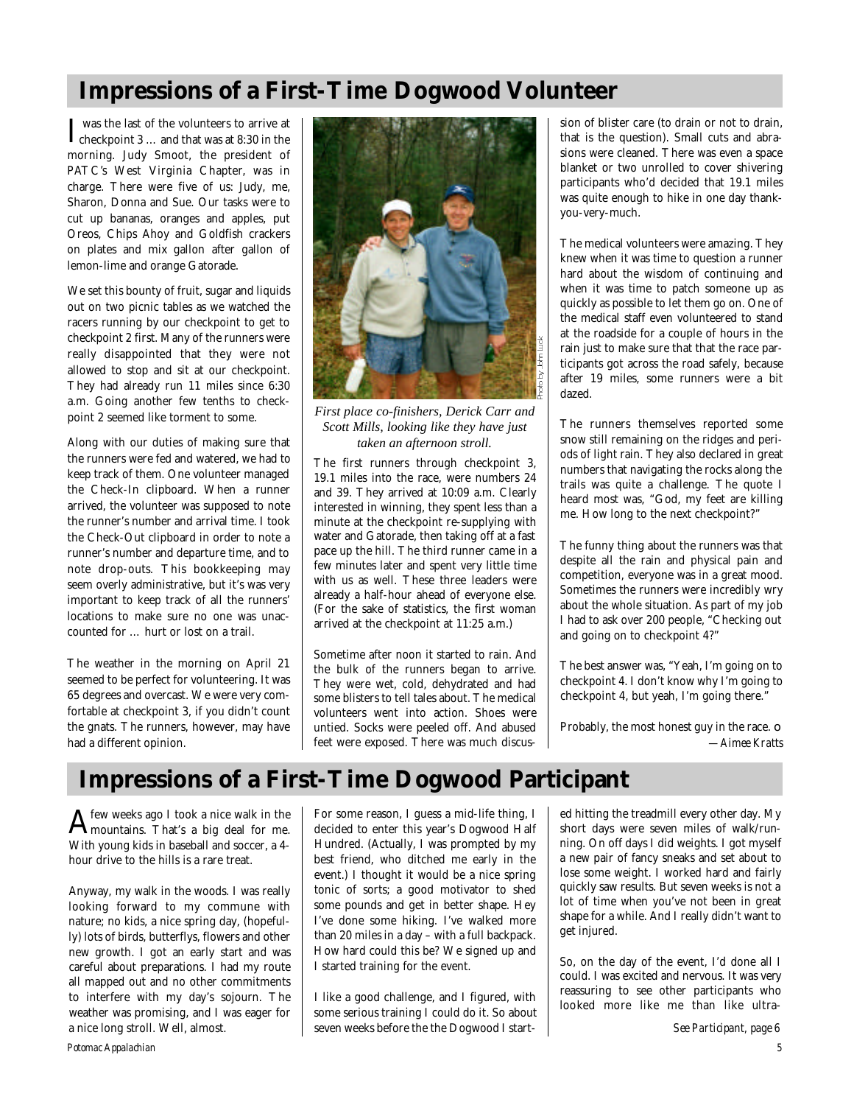# **Impressions of a First-Time Dogwood Volunteer**

 $\int \frac{1}{\sqrt{1-\frac{1}{n}}} \, dx$  was the last of the volunteers to arrive at 8:30 in the checkpoint 3 … and that was at 8:30 in the morning. Judy Smoot, the president of PATC's West Virginia Chapter, was in charge. There were five of us: Judy, me, Sharon, Donna and Sue. Our tasks were to cut up bananas, oranges and apples, put Oreos, Chips Ahoy and Goldfish crackers on plates and mix gallon after gallon of lemon-lime and orange Gatorade.

We set this bounty of fruit, sugar and liquids out on two picnic tables as we watched the racers running by our checkpoint to get to checkpoint 2 first. Many of the runners were really disappointed that they were not allowed to stop and sit at our checkpoint. They had already run 11 miles since 6:30 a.m. Going another few tenths to checkpoint 2 seemed like torment to some.

Along with our duties of making sure that the runners were fed and watered, we had to keep track of them. One volunteer managed the Check-In clipboard. When a runner arrived, the volunteer was supposed to note the runner's number and arrival time. I took the Check-Out clipboard in order to note a runner's number and departure time, and to note drop-outs. This bookkeeping may seem overly administrative, but it's was very important to keep track of all the runners' locations to make sure no one was unaccounted for … hurt or lost on a trail.

The weather in the morning on April 21 seemed to be perfect for volunteering. It was 65 degrees and overcast. We were very comfortable at checkpoint 3, if you didn't count the gnats. The runners, however, may have had a different opinion.

![](_page_4_Picture_5.jpeg)

*First place co-finishers, Derick Carr and Scott Mills, looking like they have just taken an afternoon stroll.*

The first runners through checkpoint 3, 19.1 miles into the race, were numbers 24 and 39. They arrived at 10:09 a.m. Clearly interested in winning, they spent less than a minute at the checkpoint re-supplying with water and Gatorade, then taking off at a fast pace up the hill. The third runner came in a few minutes later and spent very little time with us as well. These three leaders were already a half-hour ahead of everyone else. (For the sake of statistics, the first woman arrived at the checkpoint at 11:25 a.m.)

Sometime after noon it started to rain. And the bulk of the runners began to arrive. They were wet, cold, dehydrated and had some blisters to tell tales about. The medical volunteers went into action. Shoes were untied. Socks were peeled off. And abused feet were exposed. There was much discus-

sion of blister care (to drain or not to drain, that is the question). Small cuts and abrasions were cleaned. There was even a space blanket or two unrolled to cover shivering participants who'd decided that 19.1 miles was quite enough to hike in one day thankyou-very-much.

The medical volunteers were amazing. They knew when it was time to question a runner hard about the wisdom of continuing and when it was time to patch someone up as quickly as possible to let them go on. One of the medical staff even volunteered to stand at the roadside for a couple of hours in the rain just to make sure that that the race participants got across the road safely, because after 19 miles, some runners were a bit dazed.

The runners themselves reported some snow still remaining on the ridges and periods of light rain. They also declared in great numbers that navigating the rocks along the trails was quite a challenge. The quote I heard most was, "God, my feet are killing me. How long to the next checkpoint?"

The funny thing about the runners was that despite all the rain and physical pain and competition, everyone was in a great mood. Sometimes the runners were incredibly wry about the whole situation. As part of my job I had to ask over 200 people, "Checking out and going on to checkpoint 4?"

The best answer was, "Yeah, I'm going on to checkpoint 4. I don't know why I'm going to checkpoint 4, but yeah, I'm going there."

Probably, the most honest guy in the race. ❏ *—Aimee Kratts*

# **Impressions of a First-Time Dogwood Participant**

 $A$  few weeks ago I took a nice walk in the mountains. That's a big deal for me. mountains. That's a big deal for me. With young kids in baseball and soccer, a 4 hour drive to the hills is a rare treat.

Anyway, my walk in the woods. I was really looking forward to my commune with nature; no kids, a nice spring day, (hopefully) lots of birds, butterflys, flowers and other new growth. I got an early start and was careful about preparations. I had my route all mapped out and no other commitments to interfere with my day's sojourn. The weather was promising, and I was eager for a nice long stroll. Well, almost.

For some reason, I guess a mid-life thing, I decided to enter this year's Dogwood Half Hundred. (Actually, I was prompted by my best friend, who ditched me early in the event.) I thought it would be a nice spring tonic of sorts; a good motivator to shed some pounds and get in better shape. Hey I've done some hiking. I've walked more than 20 miles in a day – with a full backpack. How hard could this be? We signed up and I started training for the event.

I like a good challenge, and I figured, with some serious training I could do it. So about seven weeks before the the Dogwood I start-

ed hitting the treadmill every other day. My short days were seven miles of walk/running. On off days I did weights. I got myself a new pair of fancy sneaks and set about to lose some weight. I worked hard and fairly quickly saw results. But seven weeks is not a lot of time when you've not been in great shape for a while. And I really didn't want to get injured.

So, on the day of the event, I'd done all I could. I was excited and nervous. It was very reassuring to see other participants who looked more like me than like ultra-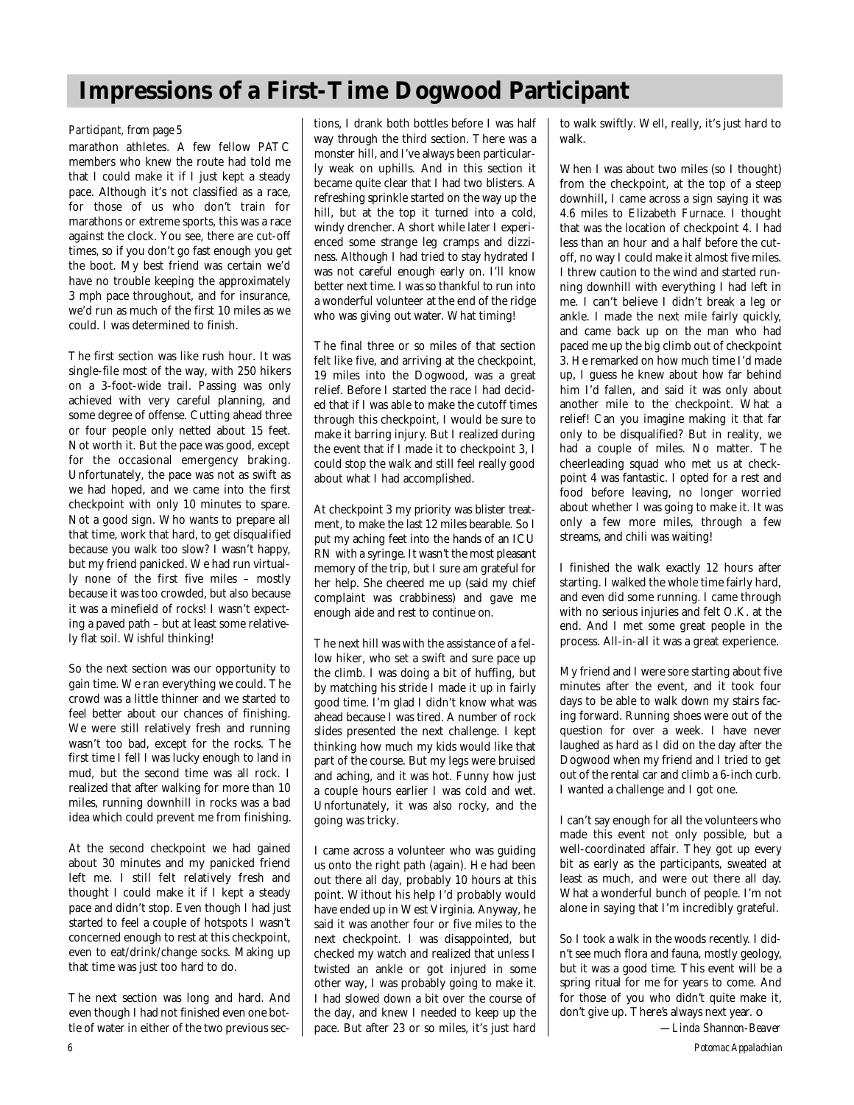# **Impressions of a First-Time Dogwood Participant**

### *Participant, from page 5*

marathon athletes. A few fellow PATC members who knew the route had told me that I could make it if I just kept a steady pace. Although it's not classified as a race, for those of us who don't train for marathons or extreme sports, this was a race against the clock. You see, there are cut-off times, so if you don't go fast enough you get the boot. My best friend was certain we'd have no trouble keeping the approximately 3 mph pace throughout, and for insurance, we'd run as much of the first 10 miles as we could. I was determined to finish.

The first section was like rush hour. It was single-file most of the way, with 250 hikers on a 3-foot-wide trail. Passing was only achieved with very careful planning, and some degree of offense. Cutting ahead three or four people only netted about 15 feet. Not worth it. But the pace was good, except for the occasional emergency braking. Unfortunately, the pace was not as swift as we had hoped, and we came into the first checkpoint with only 10 minutes to spare. Not a good sign. Who wants to prepare all that time, work that hard, to get disqualified because you walk too slow? I wasn't happy, but my friend panicked. We had run virtually none of the first five miles – mostly because it was too crowded, but also because it was a minefield of rocks! I wasn't expecting a paved path – but at least some relatively flat soil. Wishful thinking!

So the next section was our opportunity to gain time. We ran everything we could. The crowd was a little thinner and we started to feel better about our chances of finishing. We were still relatively fresh and running wasn't too bad, except for the rocks. The first time I fell I was lucky enough to land in mud, but the second time was all rock. I realized that after walking for more than 10 miles, running downhill in rocks was a bad idea which could prevent me from finishing.

At the second checkpoint we had gained about 30 minutes and my panicked friend left me. I still felt relatively fresh and thought I could make it if I kept a steady pace and didn't stop. Even though I had just started to feel a couple of hotspots I wasn't concerned enough to rest at this checkpoint, even to eat/drink/change socks. Making up that time was just too hard to do.

The next section was long and hard. And even though I had not finished even one bottle of water in either of the two previous sections, I drank both bottles before I was half way through the third section. There was a monster hill, and I've always been particularly weak on uphills. And in this section it became quite clear that I had two blisters. A refreshing sprinkle started on the way up the hill, but at the top it turned into a cold, windy drencher. A short while later I experienced some strange leg cramps and dizziness. Although I had tried to stay hydrated I was not careful enough early on. I'll know better next time. I was so thankful to run into a wonderful volunteer at the end of the ridge who was giving out water. What timing!

The final three or so miles of that section felt like five, and arriving at the checkpoint, 19 miles into the Dogwood, was a great relief. Before I started the race I had decided that if I was able to make the cutoff times through this checkpoint, I would be sure to make it barring injury. But I realized during the event that if I made it to checkpoint 3, I could stop the walk and still feel really good about what I had accomplished.

At checkpoint 3 my priority was blister treatment, to make the last 12 miles bearable. So I put my aching feet into the hands of an ICU RN with a syringe. It wasn't the most pleasant memory of the trip, but I sure am grateful for her help. She cheered me up (said my chief complaint was crabbiness) and gave me enough aide and rest to continue on.

The next hill was with the assistance of a fellow hiker, who set a swift and sure pace up the climb. I was doing a bit of huffing, but by matching his stride I made it up in fairly good time. I'm glad I didn't know what was ahead because I was tired. A number of rock slides presented the next challenge. I kept thinking how much my kids would like that part of the course. But my legs were bruised and aching, and it was hot. Funny how just a couple hours earlier I was cold and wet. Unfortunately, it was also rocky, and the going was tricky.

I came across a volunteer who was guiding us onto the right path (again). He had been out there all day, probably 10 hours at this point. Without his help I'd probably would have ended up in West Virginia. Anyway, he said it was another four or five miles to the next checkpoint. I was disappointed, but checked my watch and realized that unless I twisted an ankle or got injured in some other way, I was probably going to make it. I had slowed down a bit over the course of the day, and knew I needed to keep up the pace. But after 23 or so miles, it's just hard

to walk swiftly. Well, really, it's just hard to walk.

When I was about two miles (so I thought) from the checkpoint, at the top of a steep downhill, I came across a sign saying it was 4.6 miles to Elizabeth Furnace. I thought that was the location of checkpoint 4. I had less than an hour and a half before the cutoff, no way I could make it almost five miles. I threw caution to the wind and started running downhill with everything I had left in me. I can't believe I didn't break a leg or ankle. I made the next mile fairly quickly, and came back up on the man who had paced me up the big climb out of checkpoint 3. He remarked on how much time I'd made up, I guess he knew about how far behind him I'd fallen, and said it was only about another mile to the checkpoint. What a relief! Can you imagine making it that far only to be disqualified? But in reality, we had a couple of miles. No matter. The cheerleading squad who met us at checkpoint 4 was fantastic. I opted for a rest and food before leaving, no longer worried about whether I was going to make it. It was only a few more miles, through a few streams, and chili was waiting!

I finished the walk exactly 12 hours after starting. I walked the whole time fairly hard, and even did some running. I came through with no serious injuries and felt O.K. at the end. And I met some great people in the process. All-in-all it was a great experience.

My friend and I were sore starting about five minutes after the event, and it took four days to be able to walk down my stairs facing forward. Running shoes were out of the question for over a week. I have never laughed as hard as I did on the day after the Dogwood when my friend and I tried to get out of the rental car and climb a 6-inch curb. I wanted a challenge and I got one.

I can't say enough for all the volunteers who made this event not only possible, but a well-coordinated affair. They got up every bit as early as the participants, sweated at least as much, and were out there all day. What a wonderful bunch of people. I'm not alone in saying that I'm incredibly grateful.

So I took a walk in the woods recently. I didn 't see much flora and fauna, mostly geology, but it was a good time. This event will be a spring ritual for me for years to come. And for those of you who didn't quite make it, don't give up. There's always next year.  $\Box$ 

*—Linda Shannon-Beaver*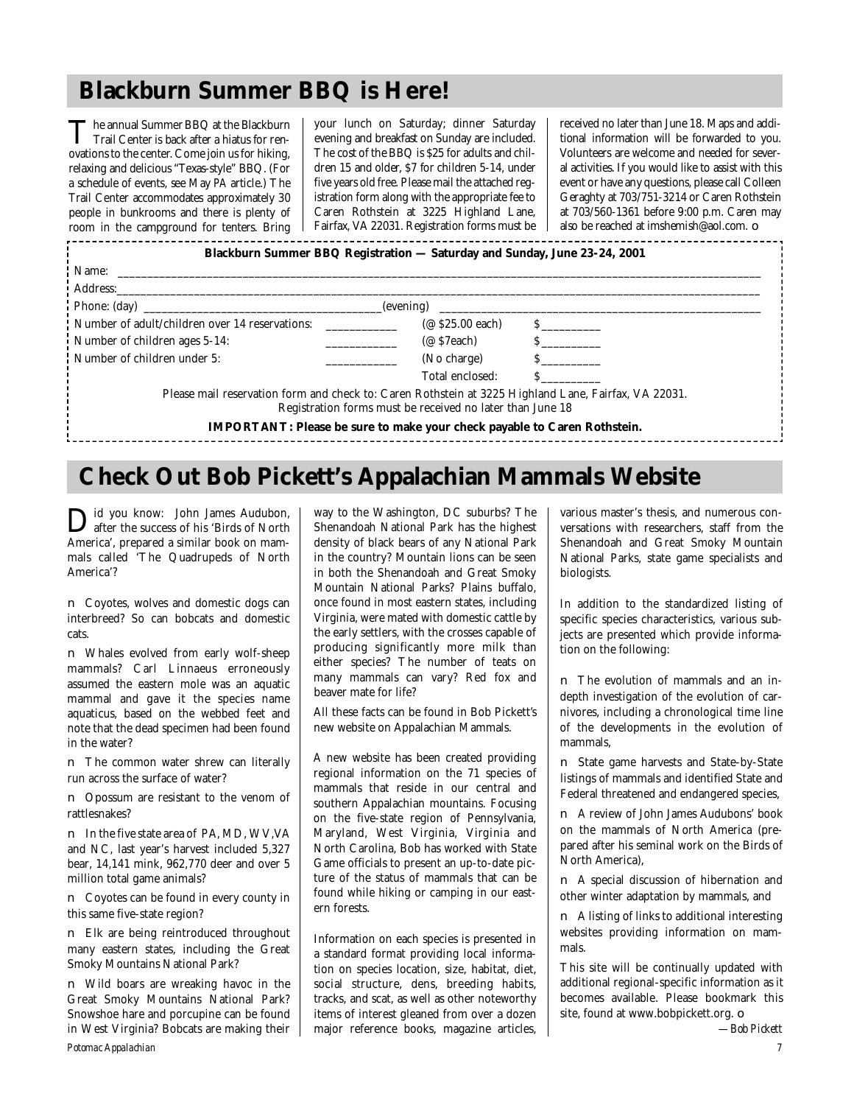# **Blackburn Summer BBQ is Here!**

The annual Summer BBQ at the Blackburn<br>Trail Center is back after a hiatus for ren-The annual Summer BBQ at the Blackburn ovations to the center. Come join us for hiking, relaxing and delicious "Texas-style" BBQ. (For a schedule of events, see May PA article.) The Trail Center accommodates approximately 30 people in bunkrooms and there is plenty of room in the campground for tenters. Bring

your lunch on Saturday; dinner Saturday evening and breakfast on Sunday are included. The cost of the BBQ is \$25 for adults and children 15 and older, \$7 for children 5-14, under five years old free. Please mail the attached registration form along with the appropriate fee to Caren Rothstein at 3225 Highland Lane, Fairfax, VA 22031. Registration forms must be received no later than June 18. Maps and additional information will be forwarded to you. Volunteers are welcome and needed for several activities. If you would like to assist with this event or have any questions, please call Colleen Geraghty at 703/751-3214 or Caren Rothstein at 703/560-1361 before 9:00 p.m. Caren may also be reached at imshemish@aol.com. ❏

| Blackburn Summer BBQ Registration — Saturday and Sunday, June 23-24, 2001                                                                                                               |                                                           |               |
|-----------------------------------------------------------------------------------------------------------------------------------------------------------------------------------------|-----------------------------------------------------------|---------------|
|                                                                                                                                                                                         |                                                           |               |
|                                                                                                                                                                                         |                                                           |               |
|                                                                                                                                                                                         |                                                           | (evening)     |
| Number of adult/children over 14 reservations:                                                                                                                                          | ( $\oslash$ \$25.00 each)                                 | $\mathbf S$   |
| Number of children ages 5-14:                                                                                                                                                           | (@ \$7each)                                               | $\mathbf S$   |
| Number of children under 5:                                                                                                                                                             | (No charge)                                               | $\mathcal{S}$ |
|                                                                                                                                                                                         | Total enclosed:                                           |               |
| Please mail reservation form and check to: Caren Rothstein at 3225 Highland Lane, Fairfax, VA 22031.<br><b>IMPORTANT:</b> Please be sure to make your check payable to Caren Rothstein. | Registration forms must be received no later than June 18 |               |

# **Check Out Bob Pickett's Appalachian Mammals Website**

Did you know: John James Audubon,<br>after the success of his 'Birds of North after the success of his 'Birds of North America', prepared a similar book on mammals called 'The Quadrupeds of North America'?

| ■ Coyotes, wolves and domestic dogs can |  |  |  |  |
|-----------------------------------------|--|--|--|--|
| interbreed? So can bobcats and domestic |  |  |  |  |
| cats.                                   |  |  |  |  |

■ Whales evolved from early wolf-sheep mammals? Carl Linnaeus erroneously assumed the eastern mole was an aquatic mammal and gave it the species name aquaticus, based on the webbed feet and note that the dead specimen had been found in the water?

■ The common water shrew can literally run across the surface of water?

■ Opossum are resistant to the venom of rattlesnakes?

■ In the five state area of PA, MD, WV, VA and NC, last year's harvest included 5,327 bear, 14,141 mink, 962,770 deer and over 5 million total game animals?

■ Coyotes can be found in every county in this same five-state region?

■ Elk are being reintroduced throughout many eastern states, including the Great Smoky Mountains National Park?

■ Wild boars are wreaking havoc in the Great Smoky Mountains National Park? Snowshoe hare and porcupine can be found in West Virginia? Bobcats are making their *Potomac Appalachian 7*

way to the Washington, DC suburbs? The Shenandoah National Park has the highest density of black bears of any National Park in the country? Mountain lions can be seen in both the Shenandoah and Great Smoky Mountain National Parks? Plains buffalo, once found in most eastern states, including Virginia, were mated with domestic cattle by the early settlers, with the crosses capable of p roducing significantly more milk than either species? The number of teats on many mammals can vary? Red fox and beaver mate for life?

All these facts can be found in Bob Pickett's new website on Appalachian Mammals.

A new website has been created providing regional information on the 71 species of mammals that reside in our central and southern Appalachian mountains. Focusing on the five-state region of Pennsylvania, Maryland, West Virginia, Virginia and North Carolina, Bob has worked with State Game officials to present an up-to-date picture of the status of mammals that can be found while hiking or camping in our eastern forests.

Information on each species is presented in a standard format providing local information on species location, size, habitat, diet, social structure, dens, breeding habits, tracks, and scat, as well as other noteworthy items of interest gleaned from over a dozen major reference books, magazine articles,

various master's thesis, and numerous conversations with researchers, staff from the Shenandoah and Great Smoky Mountain National Parks, state game specialists and biologists.

In addition to the standardized listing of specific species characteristics, various subjects are presented which provide information on the following:

■ The evolution of mammals and an indepth investigation of the evolution of carnivores, including a chronological time line of the developments in the evolution of mammals,

■ State game harvests and State-by-State listings of mammals and identified State and Federal threatened and endangered species,

■ A review of John James Audubons' book on the mammals of North America (prepared after his seminal work on the Birds of North America),

■ A special discussion of hibernation and other winter adaptation by mammals, and

■ A listing of links to additional interesting websites providing information on mammals.

This site will be continually updated with additional regional-specific information as it becomes available. Please bookmark this site, found at www.bobpickett.org. ❏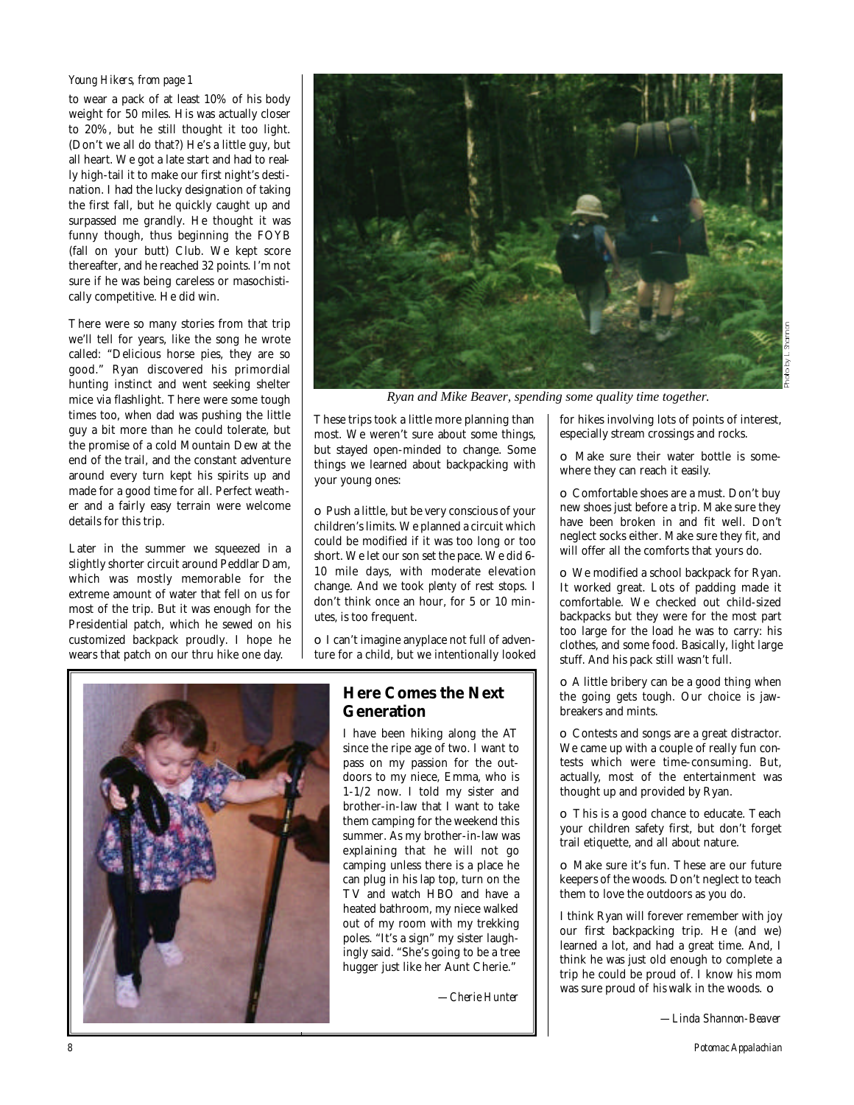### *Young Hikers, from page 1*

to wear a pack of at least 10% of his body weight for 50 miles. His was actually closer to 20%, but he still thought it too light. (Don't we all do that?) He's a little guy, but all heart. We got a late start and had to really high-tail it to make our first night's destination. I had the lucky designation of taking the first fall, but he quickly caught up and surpassed me grandly. He thought it was funny though, thus beginning the FOYB (fall on your butt) Club. We kept score thereafter, and he reached 32 points. I'm not sure if he was being careless or masochistically competitive. He did win.

There were so many stories from that trip we'll tell for years, like the song he wrote called: "Delicious horse pies, they are so good." Ryan discovered his primordial hunting instinct and went seeking shelter mice via flashlight. There were some tough times too, when dad was pushing the little guy a bit more than he could tolerate, but the promise of a cold Mountain Dew at the end of the trail, and the constant adventure around every turn kept his spirits up and made for a good time for all. Perfect weather and a fairly easy terrain were welcome details for this trip.

Later in the summer we squeezed in a slightly shorter circuit around Peddlar Dam, which was mostly memorable for the extreme amount of water that fell on us for most of the trip. But it was enough for the Presidential patch, which he sewed on his customized backpack proudly. I hope he wears that patch on our thru hike one day.

![](_page_7_Picture_4.jpeg)

*Ryan and Mike Beaver, spending some quality time together.*

These trips took a little more planning than most. We weren't sure about some things, but stayed open-minded to change. Some things we learned about backpacking with your young ones:

❏ Push a little, but be very conscious of your children's limits. We planned a circuit which could be modified if it was too long or too short. We let our son set the pace. We did 6- 10 mile days, with moderate elevation change. And we took *plenty* of rest stops. I don't think once an hour, for 5 or 10 minutes, is too frequent.

❏ I can't imagine anyplace not full of adventure for a child, but we intentionally looked

![](_page_7_Picture_9.jpeg)

# **Here Comes the Next Generation**

I have been hiking along the AT since the ripe age of two. I want to pass on my passion for the outdoors to my niece, Emma, who is 1-1/2 now. I told my sister and brother-in-law that I want to take them camping for the weekend this summer. As my brother-in-law was explaining that he will not go camping unless there is a place he can plug in his lap top, turn on the TV and watch HBO and have a heated bathroom, my niece walked out of my room with my trekking poles. "It's a sign" my sister laughingly said. "She's going to be a tree hugger just like her Aunt Cherie."

*—Cherie Hunter* 

for hikes involving lots of points of interest, especially stream crossings and rocks.

❏ Make sure their water bottle is somewhere they can reach it easily.

❏ Comfortable shoes are a must. Don't buy new shoes just before a trip. Make sure they have been broken in and fit well. Don't neglect socks either. Make sure they fit, and will offer all the comforts that yours do.

❏ We modified a school backpack for Ryan. It worked great. Lots of padding made it comfortable. We checked out child-sized backpacks but they were for the most part too large for the load he was to carry: his clothes, and some food. Basically, light large stuff. And his pack still wasn't full.

❏ A little bribery can be a good thing when the going gets tough. Our choice is jawbreakers and mints.

❏ Contests and songs are a great distractor. We came up with a couple of really fun contests which were time-consuming. But, actually, most of the entertainment was thought up and provided by Ryan.

❏ This is a good chance to educate. Teach your children safety first, but don't forget trail etiquette, and all about nature.

❏ Make sure it's fun. These are our future keepers of the woods. Don't neglect to teach them to love the outdoors as you do.

I think Ryan will forever remember with joy our first backpacking trip. He (and we) learned a lot, and had a great time. And, I think he was just old enough to complete a trip he could be proud of. I know his mom was sure proud of *his* walk in the woods. ❏

*—Linda Shannon-Beaver*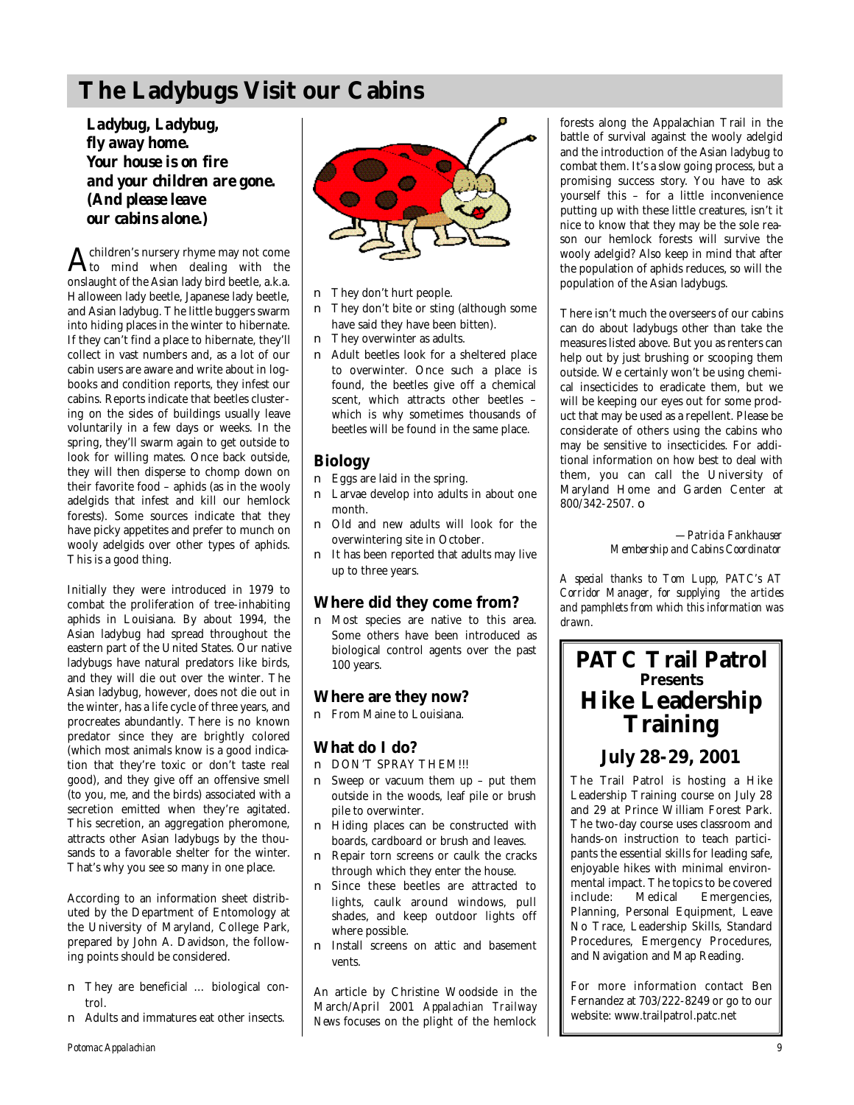# **The Ladybugs Visit our Cabins**

*Ladybug, Ladybug, fly away home. Your house is on fire and your children are gone. (And please leave our cabins alone.)*

 $A<sub>to</sub>$  mind when dealing with the children's nursery rhyme may not come onslaught of the Asian lady bird beetle, a.k.a. Halloween lady beetle, Japanese lady beetle, and Asian ladybug. The little buggers swarm into hiding places in the winter to hibernate. If they can't find a place to hibernate, they'll collect in vast numbers and, as a lot of our cabin users are aware and write about in logbooks and condition reports, they infest our cabins. Reports indicate that beetles clustering on the sides of buildings usually leave voluntarily in a few days or weeks. In the spring, they'll swarm again to get outside to look for willing mates. Once back outside, they will then disperse to chomp down on their favorite food – aphids (as in the wooly adelgids that infest and kill our hemlock forests). Some sources indicate that they have picky appetites and prefer to munch on wooly adelgids over other types of aphids. This is a good thing.

Initially they were introduced in 1979 to combat the proliferation of tree-inhabiting aphids in Louisiana. By about 1994, the Asian ladybug had spread throughout the eastern part of the United States. Our native ladybugs have natural predators like birds, and they will die out over the winter. The Asian ladybug, however, does not die out in the winter, has a life cycle of three years, and procreates abundantly. There is no known predator since they are brightly colored (which most animals know is a good indication that they're toxic or don't taste real good), and they give off an offensive smell (to you, me, and the birds) associated with a secretion emitted when they're agitated. This secretion, an aggregation pheromone, attracts other Asian ladybugs by the thousands to a favorable shelter for the winter. That's why you see so many in one place.

According to an information sheet distributed by the Department of Entomology at the University of Maryland, College Park, prepared by John A. Davidson, the following points should be considered.

- They are beneficial ... biological control.
- Adults and immatures eat other insects.

![](_page_8_Picture_7.jpeg)

- They don't hurt people.
- They don't bite or sting (although some have said they have been bitten).
- They overwinter as adults.
- Adult beetles look for a sheltered place to overwinter. Once such a place is found, the beetles give off a chemical scent, which attracts other beetles – which is why sometimes thousands of beetles will be found in the same place.

## **Biology**

- Eggs are laid in the spring.
- Larvae develop into adults in about one month.
- Old and new adults will look for the overwintering site in October.
- It has been reported that adults may live up to three years.

## **Where did they come from?**

■ Most species are native to this area. Some others have been introduced as biological control agents over the past 100 years.

## **Where are they now?**

■ From Maine to Louisiana.

## **What do I do?**

- DON'T SPRAY THEM!!!
- Sweep or vacuum them up put them outside in the woods, leaf pile or brush pile to overwinter.
- Hiding places can be constructed with boards, cardboard or brush and leaves.
- Repair torn screens or caulk the cracks through which they enter the house.
- Since these beetles are attracted to lights, caulk around windows, pull shades, and keep outdoor lights off where possible.
- Install screens on attic and basement vents.

An article by Christine Woodside in the March/April 2001 Appalachian Trailway *News* focuses on the plight of the hemlock

forests along the Appalachian Trail in the battle of survival against the wooly adelgid and the introduction of the Asian ladybug to combat them. It's a slow going process, but a promising success story. You have to ask yourself this – for a little inconvenience putting up with these little creatures, isn't it nice to know that they may be the sole reason our hemlock forests will survive the wooly adelgid? Also keep in mind that after the population of aphids reduces, so will the population of the Asian ladybugs.

There isn't much the overseers of our cabins can do about ladybugs other than take the measures listed above. But you as renters can help out by just brushing or scooping them outside. We certainly won't be using chemical insecticides to eradicate them, but we will be keeping our eyes out for some product that may be used as a repellent. Please be considerate of others using the cabins who may be sensitive to insecticides. For additional information on how best to deal with them, you can call the University of Maryland Home and Garden Center at 800/342-2507. ❏

> *—Patricia Fankhauser Membership and Cabins Coordinator*

*A special thanks to Tom Lupp, PATC's AT Corridor Manager, for supplying the articles and pamphlets from which this information was drawn.*

# **PATC Trail Patrol Presents Hike Leadership Training**

# **July 28-29, 2001**

The Trail Patrol is hosting a Hike Leadership Training course on July 28 and 29 at Prince William Forest Park. The two-day course uses classroom and hands-on instruction to teach participants the essential skills for leading safe, enjoyable hikes with minimal environmental impact. The topics to be covered include: Medical Emergencies, Planning, Personal Equipment, Leave No Trace, Leadership Skills, Standard Procedures, Emergency Procedures, and Navigation and Map Reading.

For more information contact Ben Fernandez at 703/222-8249 or go to our website: www.trailpatrol.patc.net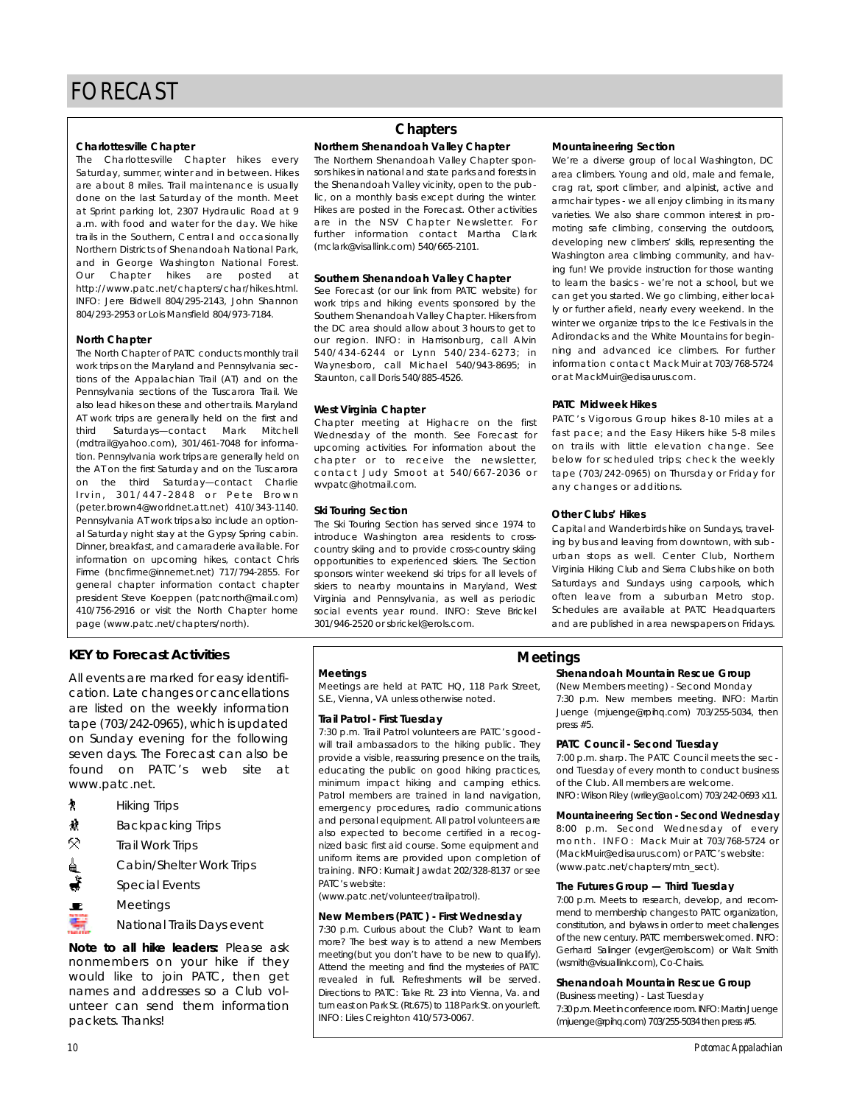Charlottesville Chapter<br>The Charlottesville Chapter hikes every Saturday, summer, winter and in between. Hikes are about 8 miles. Trail maintenance is usually done on the last Saturday of the month. Meet at Sprint parking lot, 2307 Hydraulic Road at 9 a.m. with food and water for the day. We hike trails in the Southern, Central and occasionally Northern Districts of Shenandoah National Park and in George Washington National Forest. Our Chapter hikes are posted at http://www.patc.net/chapters/char/hikes.html. INFO: Jere Bidwell 804/295-2143, John Shannon 804/293-2953 or Lois Mansfield 804/973-7184.  $804$   $804$   $804$   $804$   $804$   $804$   $804$   $804$   $804$   $804$   $804$   $804$ 

**North Chapter**<br>The North Chapter of PATC conducts monthly trail work trips on the Maryland and Pennsylvania sections of the Appalachian Trail (AT) and on the Pennsylvania sections of the Tuscarora Trail. We also lead hikes on these and other trails. Maryland AT work trips are generally held on the first and third Saturdays-contact Mark Mitchell (mdtrail@yahoo.com), 301/461-7048 for information. Pennsylvania work trips are generally held on the AT on the first Saturday and on the Tuscaroral on the third Saturday-contact Charlie Irvin, 301/447-2848 or Pete Brown (peter.brown4@worldnet.att.net) 410/343-1140. Pennsylvania AT work trips also include an optional Saturday night stay at the Gypsy Spring cabin. Dinner, breakfast, and camaraderie available. For information on upcoming hikes, contact Chris Firme (bncfirme@innernet.net) 717/794-2855. For general chapter information contact chapter president Steve Koeppen (patcnorth@mail.com) 410/756-2916 or visit the North Chapter home 410/756-2916 or visit the North Chapter home page (www.patc.net/chapters/north).

# **KEY to Forecast Activities**

cation. Late changes or cancellations are listed on the weekly information tape (703/242-0965), which is updated on Sunday evening for the following seven days. The Forecast can also be found on PATC's web site at found on PATC's web site at www.patc.net.

- 
- Hiking Trips<br>Backpacking Trips Ĥ
- Backpacking Trips 5S)
- Trail Work Trips Cabin/Shelter Work Trips
- Special Events<br>Meetings
- 

Meetings National Trails Days event

*Note to all hike leaders:* Please ask nonmembers on your hike if they would like to join PATC, then get names and addresses so a Club volunteer can send them information unteer can send them information packets. Thanks!

## **Chapters**

# **Northern Shenandoah Valley Chapter**

sors hikes in national and state parks and forests in the Shenandoah Valley vicinity, open to the public, on a monthly basis except during the winter. Hikes are posted in the Forecast. Other activities are in the NSV Chapter Newsletter. For further information contact Martha Clark further information contact Martha Clark  $($ mbianto nodifinitio 6 $m$ ) 640/666-2101.

# **Southern Shenandoah Valley Chapter**<br>See Forecast (or our link from PATC website) for

work trips and hiking events sponsored by the Southern Shenandoah Valley Chapter. Hikers from the DC area should allow about 3 hours to get to our region. INFO: in Harrisonburg, call Alvin 540/434-6244 or Lynn 540/234-6273; in Waynesboro, call Michael 540/943-8695; in wa y noboloj cali michael 540/943-8695; in  $S$  staunton, call Dons 640/885-4526.

West Virginia Chapter<br>Chapter meeting at Highacre on the first Wednesday of the month. See Forecast for upcoming activities. For information about the chapter or to receive the newsletter, contact Judy Smoot at 540/667-2036 or con tact subjected at 540/667 2006 or www.patoonethamoon...

**Ski Touring Section**<br>The Ski Touring Section has served since 1974 to introduce Washington area residents to crosscountry skiing and to provide cross-country skiing opportunities to experienced skiers. The Section sponsors winter weekend ski trips for all levels of skiers to nearby mountains in Maryland, West Virginia and Pennsylvania, as well as periodic social events year round. INFO: Steve Brickel social events year round. INFO: Steve Brickel

**Mountaineering Section**<br>We're a diverse group of local Washington, DC area climbers. Young and old, male and female, crag rat, sport climber, and alpinist, active and armchair types - we all enjoy climbing in its many varieties. We also share common interest in promoting safe climbing, conserving the outdoors, developing new climbers' skills, representing the Washington area climbing community, and having fun! We provide instruction for those wanting to learn the basics - we're not a school, but we can get you started. We go climbing, either locally or further afield, nearly every weekend. In the winter we organize trips to the Ice Festivals in the Adirondacks and the White Mountains for beginning and advanced ice climbers. For further information contact Mack Muir at 703/768-5724 or at Mack Muir @edisaurus com or at MackMuir@edisaurus.com.

**PATC Midweek Hikes** fast pace; and the Easy Hikers hike 5-8 miles on trails with little elevation change. See below for scheduled trips; check the weekly below for scheduled trips; check the weekly  $t = 0.037$  or  $t = 0.005$  on  $t = 0.007$  or  $t = 0.007$ any changes or additions.

**Other Clubs' Hikes**<br>Capital and Wanderbirds hike on Sundays, traveling by bus and leaving from downtown, with suburban stops as well. Center Club, Northern Virginia Hiking Club and Sierra Clubs hike on both Saturdays and Sundays using carpools, which often leave from a suburban Metro stop. Schedules are available at PATC Headquarters Schedules are available at PATC Headquarters and are published in area newspapers on Fridays.

**Meetings**<br>Meetings are held at PATC HQ, 118 Park Street, Moothigs are held at PATC HQ, 118 Park Street, S.E., Vienna, VA unless otherwise noted.

**Trail Patrol - First Tuesday** will trail ambassadors to the hiking public. They provide a visible, reassuring presence on the trails, educating the public on good hiking practices, minimum impact hiking and camping ethics. Patrol members are trained in land navigation, emergency procedures, radio communications and personal equipment. All patrol volunteers are also expected to become certified in a recognized basic first aid course. Some equipment and uniform items are provided upon completion of uniform items are provided upon completion of training. INFO: Kumait Jawdat 202/328-8137 or see patched and patched and the second second to the second second the second second second and second the second <br>Provided a second second and second second second second second and second a second second a second second sec

( www.patemetrical relation transactory.

# **New Members (PATC) - First Wednesday**<br>7:30 p.m. Curious about the Club? Want to learn

more? The best way is to attend a new Members meeting(but you don't have to be new to qualify). Attend the meeting and find the mysteries of PATC revealed in full. Refreshments will be served. Directions to PATC: Take Rt 23 into Vienna Va and turn east on Park St. (Rt.675) to 118 Park St. on your left. turn east on Fain on <sub>P</sub>ris*tory* to 118 Park St. Journous.<br>INFO Like: Oscialities: 440 / 579 00 / 7 INFO: Liles Creighton 410/573-0067.

### **Meetings**

# **Shenandoah Mountain Rescue Group**<br>(New Members meeting) - Second Monday

7:30 p.m. New members meeting. INFO: Martin 7:30 p.m. New members meeting. INFO: Martin Juenge (mjuenge@rpihq.com) 703/255-5034, then press #5.

**PATC Council - Second Tuesday**<br>7:00 p.m. sharp. The PATC Council meets the second Tuesday of every month to conduct business of the Club. All members are welcome. of the Club. All members are welcome.  $\sum_{i=1}^{n}$  is constant and  $\sum_{i=1}^{n}$  (which is constantly 703/242-0693 x11.1.

**Mountaineering Section - Second Wednesday**<br>8:00 p.m. Second Wednesday of every  $month$ . INFO: Mack Muir at 703/768-5724 or (MackMuir@edisaurus.com) or PATC's website: (Machinal ocalcauracionii) or PATC's Nobelio.<br>(www.note.not/ekontern/eth.nost) (www.patc.net/chapters/mtn\_sect).

# **The Futures Group — Third Tuesday**<br>7:00 p.m. Meets to research, develop, and recom-

mend to membership changes to PATC organization, constitution, and bylaws in order to meet challenges of the new century. PATC members welcomed. INFO: Gerhard Salinger (evger@erols.com) or Walt Smith (wsmith@visuallink.com). Co-Chairs. (wsmith@visuallink.com), Co-Chairs.

# **Shenandoah Mountain Rescue Group**<br>(Business meeting) - Last Tuesday

7:30 p.m. Meet in conference room. INFO: Martin Juenge 7:30 p.m. moetin conference room. Info content and conge (mjuenge@rpihq.com) 703/255-5034 then press #5.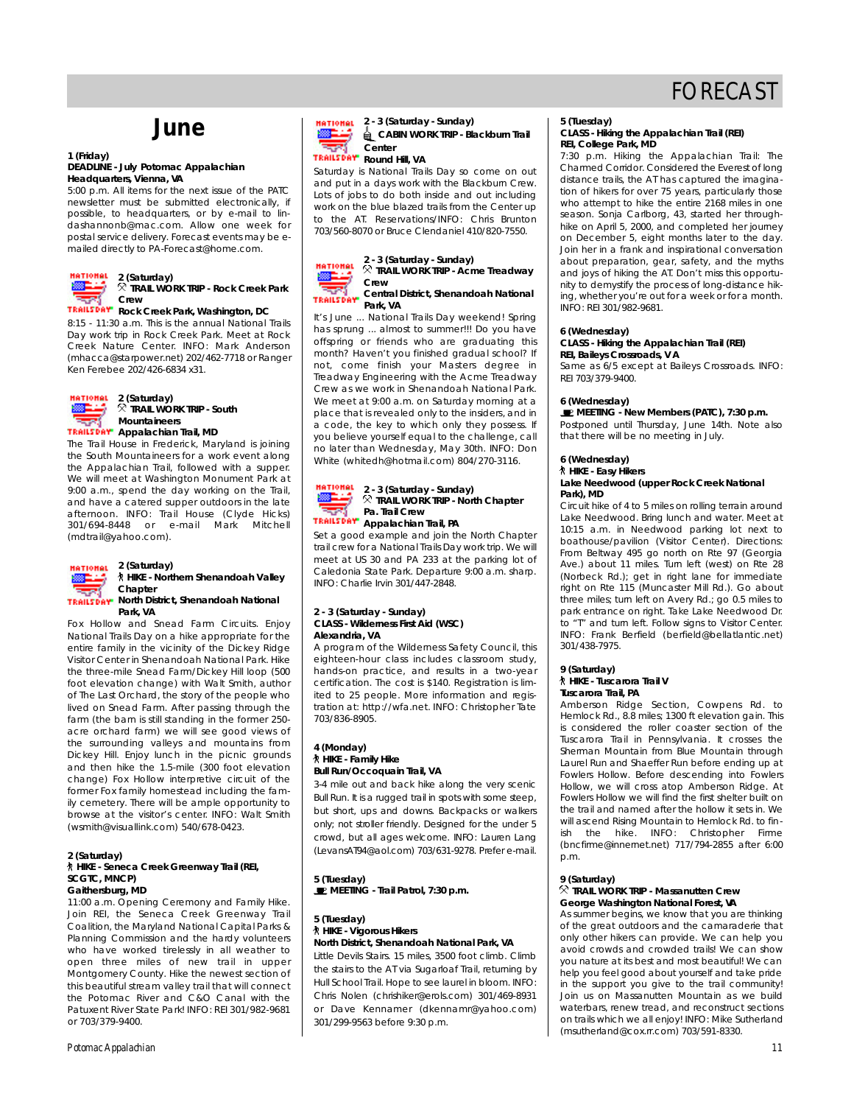# **June**

## **1 (Friday) Headquarters**, Vienna, VA

5:00 p.m. All items for the next issue of the PATC newsletter must be submitted electronically, if possible, to headquarters, or by e-mail to lindashannonb@mac.com. Allow one week for postal service delivery. Forecast events may be epostal service delivery. Forecast events may be emallod directly to PAT-crocodite home.com...

![](_page_10_Picture_5.jpeg)

8:15 - 11:30 a.m. This is the annual National Trails Day work trip in Rock Creek Park. Meet at Rock Creek Nature Center. INFO: Mark Anderson (mhacca@starpower.net) 202/462-7718 or Ranger (mhacca@starpower.net) 202/462-7718 or Ranger

**2 (Saturday)** HATIONAL ₩ **Mountaineers TRAILSDAY** Appalachian Trail, MD

The Trail House in Frederick, Maryland is joining the South Mountaineers for a work event along the Appalachian Trail, followed with a supper. We will meet at Washington Monument Park at 9:00 a.m., spend the day working on the Trail, and have a catered supper outdoors in the late afternoon. INFO: Trail House (Clyde Hicks) 301/694-8448 or e-mail Mark Mitchell 301/691-8116 or e-mail Mail Mitchell<br>(mdtroll@voboo.com) ( m d t r a i l @ y a h o o . c o m ) .

![](_page_10_Picture_10.jpeg)

### **2 (Saturday) HIKE - Northern Shenandoah Valley**

### **Chapter TRAILSDAY North District, Shenandoah National Park, VA**<br>Fox Hollow and Snead Farm Circuits. Enjoy

National Trails Day on a hike appropriate for the entire family in the vicinity of the Dickey Ridge Visitor Center in Shenandoah National Park. Hike the three-mile Snead Farm/Dickey Hill loop (500 foot elevation change) with Walt Smith, author of The Last Orchard, the story of the people who lived on Snead Farm. After passing through the farm (the barn is still standing in the former 250acre orchard farm) we will see good views of the surrounding valleys and mountains from Dickey Hill. Enjoy lunch in the picnic grounds and then hike the 1.5-mile (300 foot elevation change) Fox Hollow interpretive circuit of the former Fox family homestead including the family cemetery. There will be ample opportunity to browse at the visitor's center. INFO: Walt Smith b romse at the visitor's center. Info: Year Smith  $($ wsmithe wsuallink.com) 640/678-0423.

### **2 (Saturday) HIKE - Seneca Creek Greenway Trail (REI, SCGTC, MNCP)**

11:00 a.m. Opening Ceremony and Family Hike. Join REI, the Seneca Creek Greenway Trail Coalition, the Maryland National Capital Parks & Planning Commission and the hardy volunteers who have worked tirelessly in all weather to open three miles of new trail in upper Montgomery County. Hike the newest section of this beautiful stream valley trail that will connect the Potomac River and C&O Canal with the the Potomac River and C&O Canal with the Patukent River State Park! INFO: REPOSITION 7001 or 703/377-7100.

Saturday is National Trails Day so come on out and put in a days work with the Blackburn Crew. Lots of jobs to do both inside and out including work on the blue blazed trails from the Center up to the AT. Reservations/INFO: Chris Brunton to the AT. Reservations/INFO: Chris Brunton<br>702/E40.9070.or Pruce Clendeniel 410/920.7EE0 703/560-8070 or Bruce Clendaniel 410/820-7550.

![](_page_10_Picture_18.jpeg)

# **TRAIL WORK TRIP - ACMO Troubled Central District, Shenandoah National**

**TRAILTERT Park, VA<br>It's June ... National Trails Day weekend! Spring** has sprung ... almost to summer!!! Do you have offspring or friends who are graduating this month? Haven't you finished gradual school? If not, come finish your Masters degree in Treadway Engineering with the Acme Treadway Crew as we work in Shenandoah National Park. We meet at 9:00 a.m. on Saturday morning at a place that is revealed only to the insiders, and in a code, the key to which only they possess. If you believe yourself equal to the challenge, call no later than Wednesday, May 30th. INFO: Don no later than Wednesday, May 30th. INFO: Don White (white different components of  $\overline{a}$ .

### **ATIONAL** æ.  $\overline{R}$  TDAIL WORK TRID - Nor **TRAIL MORK TRAIL MORK CHAPTER Pa. Trail Crew**<br>**Pa. Trail: Trail: PA.**<br>**Pa. Trail: PA.**<br>**Pa. Trail: PA.** ⋥

Set a good example and join the North Chapter trail crew for a National Trails Day work trip. We will meet at US 30 and PA 233 at the parking lot of Caledonia State Park. Departure 9:00 a.m. sharp. Caledonia State Park. Departure 9:00 a.m. sharp.<br>INEO: Cherlie Indo 2017/147-2010 Information in the set of the set of the set of the set of the set of the set of the set of the set of the set of the set of the set of the set of the set of the set of the set of the set of the set of the set of the set o

## **2 - 3 (Saturday - Sunday) C**

A program of the Wilderness Safety Council, this eighteen-hour class includes classroom study, hands-on practice, and results in a two-year certification. The cost is \$140. Registration is limited to 25 people. More information and regisited to 25 people. More information and registration at: http://wiamot.net. Cr. Christophor Tato 7 0 3 / 8 3 6 - 8 9 0 5 .

# **4 (Monday) Bull Run/Occoguain Trail, VA**

3-4 mile out and back hike along the very scenic Bull Run. It is a rugged trail in spots with some steep, but short, ups and downs. Backpacks or walkers only; not stroller friendly. Designed for the under 5 crowd, but all ages welcome. INFO: Lauren Lang c rowd, but all ages welcome. INFO: Lauren Lang  $($  Let  $\alpha$  is a n statistical property  $\alpha$  of  $\alpha$  of  $\alpha$  . Prefer to each company

**5 (Tuesday) MEETING - Trail Patrol, 7:30 p.m.**

# **5 (Tuesday)**

### **North District, Shenandoah National Park, VA**

**Little Devils Stairs, 15 miles, 3500 foot climb. Climb** the stairs to the AT via Sugarloaf Trail, returning by Hull School Trail. Hope to see laurel in bloom. INFO: Chris Nolen (chrishiker@erols.com) 301/469-8931 or Dave Kennamer (dkennamr@yahoo.com) 301/299-9563 before 9:30 p.m.  $301/299$  before 9:30 p.m.

## **5 (Tuesday) REI, College Park, MD**

7:30 p.m. Hiking the Appalachian Trail: The Charmed Corridor. Considered the Everest of long distance trails, the AT has captured the imagination of hikers for over 75 years, particularly those who attempt to hike the entire 2168 miles in one season. Sonja Carlborg, 43, started her throughhike on April 5, 2000, and completed her journey on December 5, eight months later to the day. Join her in a frank and inspirational conversation about preparation, gear, safety, and the myths and joys of hiking the AT. Don't miss this opportunity to demystify the process of long-distance hiking, whether you're out for a week or for a month. ing, whether you're out for a week or for a month.  $\sum_{i=1}^{n} \frac{1}{2} \sum_{i=1}^{n} \frac{1}{2} \sum_{i=1}^{n} \frac{1}{2} \sum_{i=1}^{n} \frac{1}{2} \sum_{i=1}^{n} \frac{1}{2} \sum_{i=1}^{n} \frac{1}{2} \sum_{i=1}^{n} \frac{1}{2} \sum_{i=1}^{n} \frac{1}{2} \sum_{i=1}^{n} \frac{1}{2} \sum_{i=1}^{n} \frac{1}{2} \sum_{i=1}^{n} \frac{1}{2} \sum_{i=1}^{n} \frac{1}{2} \sum_{i=1}^{n} \frac{1}{2$ 

## **6 (Wednesday) REI, Baileys Crossroads, VA**

Same as 6/5 except at Baileys Crossroads. INFO: Same as 6/5 except at Baileys Crossroads. INFO: REI 703/377-7100.

**6 (Wednesday)**

Postponed until Thursday, June 14th. Note also Postponed until multiday, suite 14th. Note also that there will be no meeting in July.

# **6 (Wednesday)**

### **HIKE - Easy Hikers Lake Needwood (upper Rock Creek National** Park), MD<br>Circuit hike of 4 to 5 miles on rolling terrain around

Lake Needwood. Bring lunch and water. Meet at 10:15 a.m. in Needwood parking lot next to boathouse/pavilion (Visitor Center). Directions: From Beltway 495 go north on Rte 97 (Georgia Ave.) about 11 miles. Turn left (west) on Rte 28 (Norbeck Rd.); get in right lane for immediate right on Rte 115 (Muncaster Mill Rd.). Go about three miles; turn left on Avery Rd.; go 0.5 miles to park entrance on right. Take Lake Needwood Dr. to "T" and turn left. Follow signs to Visitor Center. INFO: Frank Berfield (berfield@bellatlantic.net) 301/438-7975 301/<sub>1</sub>38-7975.

# **9 (Saturday)**

**Tuscarora Trail, PA** 

Amberson Ridge Section, Cowpens Rd. to Hemlock Rd., 8.8 miles; 1300 ft elevation gain. This is considered the roller coaster section of the Tuscarora Trail in Pennsylvania. It crosses the Sherman Mountain from Blue Mountain through Laurel Run and Shaeffer Run before ending up at Fowlers Hollow. Before descending into Fowlers Hollow, we will cross atop Amberson Ridge. At Fowlers Hollow we will find the first shelter built on the trail and named after the hollow it sets in. We will ascend Rising Mountain to Hemlock Rd. to finish the hike. INFO: Christopher Firme ish the hiller information children films (bncfirme@innernet.net) 717/794-2855 after 6:00 p.m.

## 9 (Saturday)<br><sup><>></sup> TRAIL WORK TRIP - Massanutten Crew **George Washington National Forest, VA**

As summer begins, we know that you are thinking of the great outdoors and the camaraderie that only other hikers can provide. We can help you avoid crowds and crowded trails! We can show you nature at its best and most beautiful! We can thelp you feel good about yourself and take pride in the support you give to the trail community! Ioin us on Massanutten Mountain as we build waterbars, renew tread, and reconstruct sections on trails which we all enjoy! INFO: Mike Sutherland on trails which we all enjoy! INFO: Mike Sutherland<br>/msutherland@cev.rr.com) 702/E01-0220 (msutherland@cox.rr.com) 703/591-8330.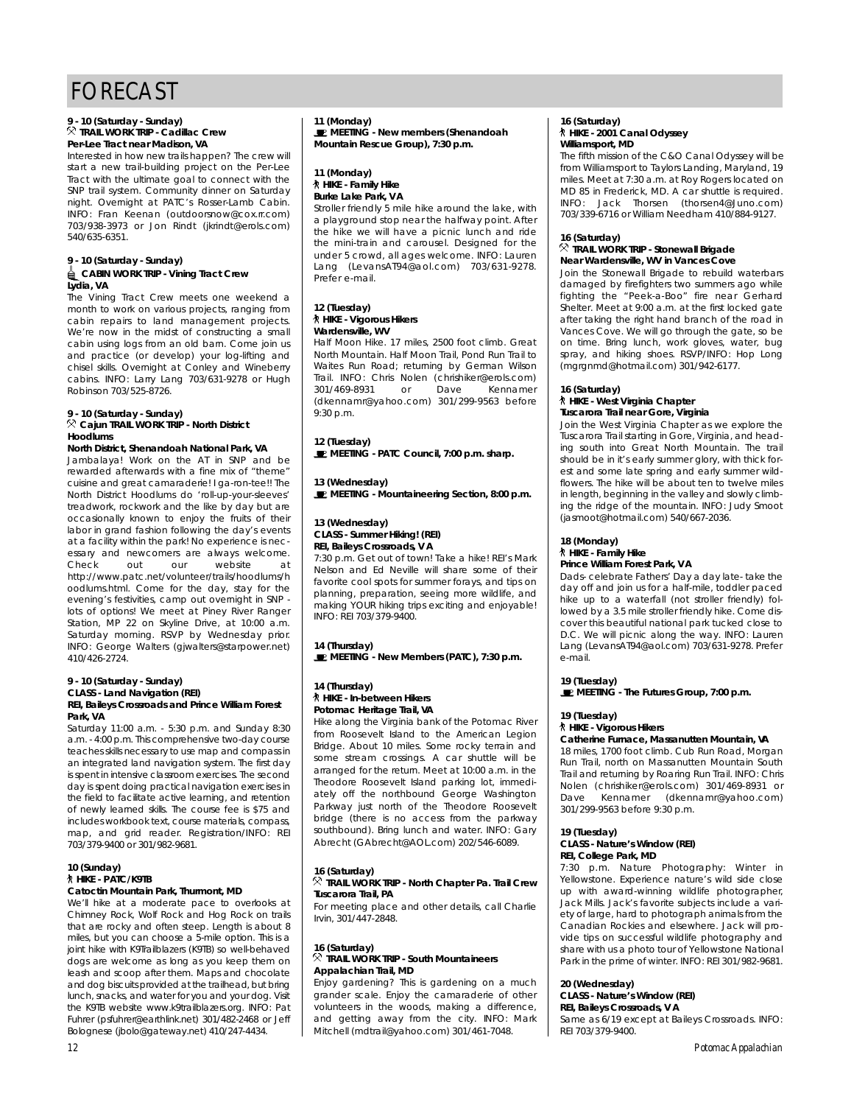# **9 - 10 (Saturday - Sunday)** Per-Lee Tract near Madison, VA

Interested in how new trails happen? The crew will start a new trail-building project on the Per-Lee Tract with the ultimate goal to connect with the SNP trail system. Community dinner on Saturday night. Overnight at PATC's Rosser-Lamb Cabin. INFO: Fran Keenan (outdoorsnow@cox.rr.com) 703/938-3973 or Jon Rindt (jkrindt@erols.com) 540/635-6351  $540, 555, 555$ 

# **9 - 10 (Saturday - Sunday)** Lydia. VA

The Vining Tract Crew meets one weekend a month to work on various projects, ranging from cabin repairs to land management projects. We're now in the midst of constructing a small cabin using logs from an old barn. Come join us and practice (or develop) your log-lifting and chisel skills. Overnight at Conley and Wineberry cabins. INFO: Larry Lang 703/631-9278 or Hugh cabins. Info: Larry Larry 703/601-7270 or Hugh.<br>Poblecon 703/636-9736 Robinson 703/525-8726.

## **9 - 10 (Saturday - Sunday) Cajun TRAIL WORK TRIP - North District**

**North District, Shenandoah National Park, VA** Jambalaya! Work on the AT in SNP and be rewarded afterwards with a fine mix of "theme" cuisine and great camaraderie! I ga-ron-tee!! The North District Hoodlums do 'roll-up-vour-sleeves' treadwork, rockwork and the like by day but are occasionally known to enjoy the fruits of their labor in grand fashion following the day's events at a facility within the park! No experience is necat a facility minimizing park! No experience is necessary and newcomers are always welcome. Check out our website at<br>http://www.patc.net/volunteer/trails/hoodlums/h oodlums.html. Come for the day, stay for the evening's festivities, camp out overnight in SNP lots of options! We meet at Piney River Ranger Station, MP 22 on Skyline Drive, at 10:00 a.m. Station, MP 22 on Saturday morning. RSVP by Wednesday prior. satalaay morning. Rover by Wednesday prior.<br>INFO: Coorde Welters (alwelters@cternewer.net) Info: George Malters (gjwaltersestarpower.net)<br>110/126 2721

### **9 - 10 (Saturday - Sunday) CLASS Land Navigation (REI) REI, Baileys Crossroads and Prince William Forest**

**Park, VA**<br>Saturday 11:00 a.m. - 5:30 p.m. and Sunday 8:30 a.m. - 4:00 p.m. This comprehensive two-day course teaches skills necessary to use map and compass in an integrated land navigation system. The first day is spent in intensive classroom exercises. The second day is spent doing practical navigation exercises in the field to facilitate active learning, and retention of newly learned skills. The course fee is \$75 and includes workbook text, course materials, compass, map, and grid reader. Registration/INFO: REI 703/379-9400 or 301/982-9681.  $703/377/300$  or  $301/302/300$ 

## **10 (Sunday) Catoctin Mountain Park, Thurmont, MD**

We'll hike at a moderate pace to overlooks at Chimney Rock, Wolf Rock and Hog Rock on trails that are rocky and often steep. Length is about 8 miles, but you can choose a 5-mile option. This is a joint hike with K9Trailblazers (K9TB) so well-behaved dogs are welcome as long as you keep them on leash and scoop after them. Maps and chocolate and dog biscuits provided at the trailhead, but bring lunch, snacks, and water for you and your dog. Visit the K9TB website www.k9trailblazers.org. INFO: Pat Fuhrer (psfuhrer@earthlink.net) 301/482-2468 or Jeff ramer (psiamere camimimitety compozition of Sen<br>Polognoso (ibolo@gatoway.not) 410/247-4424 Bolognese (jbolo@gateway.net) 410/247-4434.

**11 (Monday) MEETING - New members (Shenandoah Mountain Rescue Group), 7:30 p.m.**

# **11 (Monday) Burke Lake Park, VA**

Stroller friendly 5 mile hike around the lake, with a playground stop near the halfway point. After the hike we will have a picnic lunch and ride the mini-train and carousel. Designed for the under 5 crowd, all ages welcome. INFO: Lauren Lang (LevansAT94@aol.com)  $703/631-9278$ .  $Prefer$  e-mail

# **12 (Tuesday)** Wardensville, WV

Half Moon Hike. 17 miles, 2500 foot climb. Great North Mountain. Half Moon Trail, Pond Run Trail to Waites Run Road; returning by German Wilson waltes Run Road; returning by German Wilson<br>Troll INFO: Chris Nolon (obrisbiles@erols.com) Trail. Info: Chris Nolen (christmere eroisteen) 301/107.0701 or Dave Komanion (dkomianno jahoo.com) 301/277 7000 before 9:30 p.m.

**12 (Tuesday) MEETING - PATC Council, 7:00 p.m. sharp.**

### **13 (Wednesday) MEETING - Mountaineering Section, 8:00 p.m.**

# **13 (Wednesday) REI, Baileys Crossroads, VA**

7:30 p.m. Get out of town! Take a hike! REI's Mark Nelson and Ed Neville will share some of their favorite cool spots for summer forays, and tips on planning, preparation, seeing more wildlife, and making YOUR hiking trips exciting and enjoyable!  $INFO: RFI 703/379-9400.$  $\sum_{i=1}^{n} \sum_{i=1}^{n} \sum_{j=1}^{n} \sum_{j=1}^{n} \sum_{j=1}^{n} \sum_{j=1}^{n} \sum_{j=1}^{n} \sum_{j=1}^{n} \sum_{j=1}^{n} \sum_{j=1}^{n} \sum_{j=1}^{n} \sum_{j=1}^{n} \sum_{j=1}^{n} \sum_{j=1}^{n} \sum_{j=1}^{n} \sum_{j=1}^{n} \sum_{j=1}^{n} \sum_{j=1}^{n} \sum_{j=1}^{n} \sum_{j=1}^{n} \sum_{j=1}^{n} \sum_{j=1}^{n}$ 

**14 (Thursday) MEETING - New Members (PATC), 7:30 p.m.**

## **14 (Thursday)** Potomac Heritage Trail, VA

Hike along the Virginia bank of the Potomac River from Roosevelt Island to the American Legion Bridge. About 10 miles. Some rocky terrain and some stream crossings. A car shuttle will be arranged for the return. Meet at 10:00 a.m. in the Theodore Roosevelt Island parking lot, immediately off the northbound George Washington Parkway just north of the Theodore Roosevelt bridge (there is no access from the parkway southbound). Bring lunch and water. INFO: Gary Abrecht (GAbrecht@AOL.com) 202/546-6089. Abrecht (GAbrechter (GERCAN) 202/546-6089.

## **16 (Saturday) TRAIL WORK TRAIL TROWN CHAPTER PARTICIPED**

**Tuscarora Trail, PA**  $Irvin. 301/447-2848.$  $\frac{1}{2}$   $\frac{1}{2}$   $\frac{1}{2}$   $\frac{1}{2}$   $\frac{1}{2}$   $\frac{1}{2}$   $\frac{1}{2}$   $\frac{1}{2}$   $\frac{1}{2}$   $\frac{1}{2}$   $\frac{1}{2}$   $\frac{1}{2}$   $\frac{1}{2}$   $\frac{1}{2}$   $\frac{1}{2}$   $\frac{1}{2}$   $\frac{1}{2}$   $\frac{1}{2}$   $\frac{1}{2}$   $\frac{1}{2}$   $\frac{1}{2}$   $\frac{1}{2}$ 

## 16 (Saturday)<br><sup><></sup> TRAIL WORK TRIP - South Mountaineers **Appalachian Trail MD**

Enjoy gardening? This is gardening on a much grander scale. Enjoy the camaraderie of other volunteers in the woods, making a difference, and getting away from the city. INFO: Mark and gotting away from the city. Info: Mark Mitchell (mdtrail@yahoo.com) 301/461-7048.

## **16 (Saturday) Williamsport**, MD

The fifth mission of the C&O Canal Odyssey will be from Williamsport to Taylors Landing, Maryland, 19 miles. Meet at 7:30 a.m. at Roy Rogers located on MD 85 in Frederick, MD. A car shuttle is required. INFO: Jack Thorsen (thorsen4@Juno.com) INFO: Jack Morson (morson-Jackson)<br>202/220 4214 or William Noodborn 410/004 0127

# **16 (Saturday)**

**Near Wardensville, WV in Vances Cove** Join the Stonewall Brigade to rebuild waterbars damaged by firefighters two summers ago while fighting the "Peek-a-Boo" fire near Gerhard Shelter. Meet at 9:00 a.m. at the first locked gate after taking the right hand branch of the road in Vances Cove. We will go through the gate, so be on time. Bring lunch, work gloves, water, bug spray, and hiking shoes. RSVP/INFO: Hop Long (maranmd@hotmail.com) 301/942-6177.  $($ mgrgmmd $\sigma$ notmail.com) 301/942-6177.

## **16 (Saturday) Tuscarora Trail near Gore, Virginia**

Join the West Virginia Chapter as we explore the Tuscarora Trail starting in Gore, Virginia, and heading south into Great North Mountain. The trail should be in it's early summer glory, with thick forest and some late spring and early summer wildflowers. The hike will be about ten to twelve miles in length, beginning in the valley and slowly climbing the ridge of the mountain. INFO: Judy Smoot ing the ridge of the mountain. In or sudy smoot<br>(losmoot@botmoll.com) 540/667-2026 (jasmoot@hotmail.com) 540/667-2036.

# **18 (Monday)**

### **Prince William Forest Park, VA**

Dads- celebrate Fathers' Day a day late-take the day off and join us for a half-mile, toddler paced hike up to a waterfall (not stroller friendly) followed by a 3.5 mile stroller friendly hike. Come discover this beautiful national park tucked close to D.C. We will picnic along the way. INFO: Lauren D.C. We will picnic along the way. INFO: Lauren Lang (Lovans ATT caol.com) 703/631-7278. Professor<br>A-mail e-mail.

### **19 MEETING MEETING - The Futures Group, 7:00 p.m.**

# **19 (Tuesday)**

### Catherine Furnace, Massanutten Mountain, VA

18 miles, 1700 foot climb. Cub Run Road, Morgan Run Trail, north on Massanutten Mountain South Trail and returning by Roaring Run Trail. INFO: Chris Nolen (chrishiker@erols.com) 301/469-8931 or Dave Kennamer (dkennamr@yahoo.com) Dave Kennamer (dkennamr@yahoo.com)  $30.72777$  ,  $3000$  before  $9.00$  p.m.

## **19 (Tuesday) REL College Park, MD**

**REI, Sensyle Park, MDD**<br>7:30 p.m. Nature Photography: Winter in Yellowstone. Experience nature's wild side close up with award-winning wildlife photographer, Jack Mills. Jack's favorite subjects include a variety of large, hard to photograph animals from the Canadian Rockies and elsewhere, lack will provide tips on successful wildlife photography and share with us a photo tour of Yellowstone National share with as a photo tour of Tellowstone National<br>Dork in the prime of Winter INEO: DEI 2017022 0401 Park in the prime of winter. INFO: REI 301/982-9681.

# **20 (Wednesday)**

### **REL Baileys Crossroads, VA**

**REI, Baileys Crossroads, T.A.** Same as 6/17 except at Baileys Crossroads. INFO:<br>DEI 702/270 0400 REI 703/379-9400.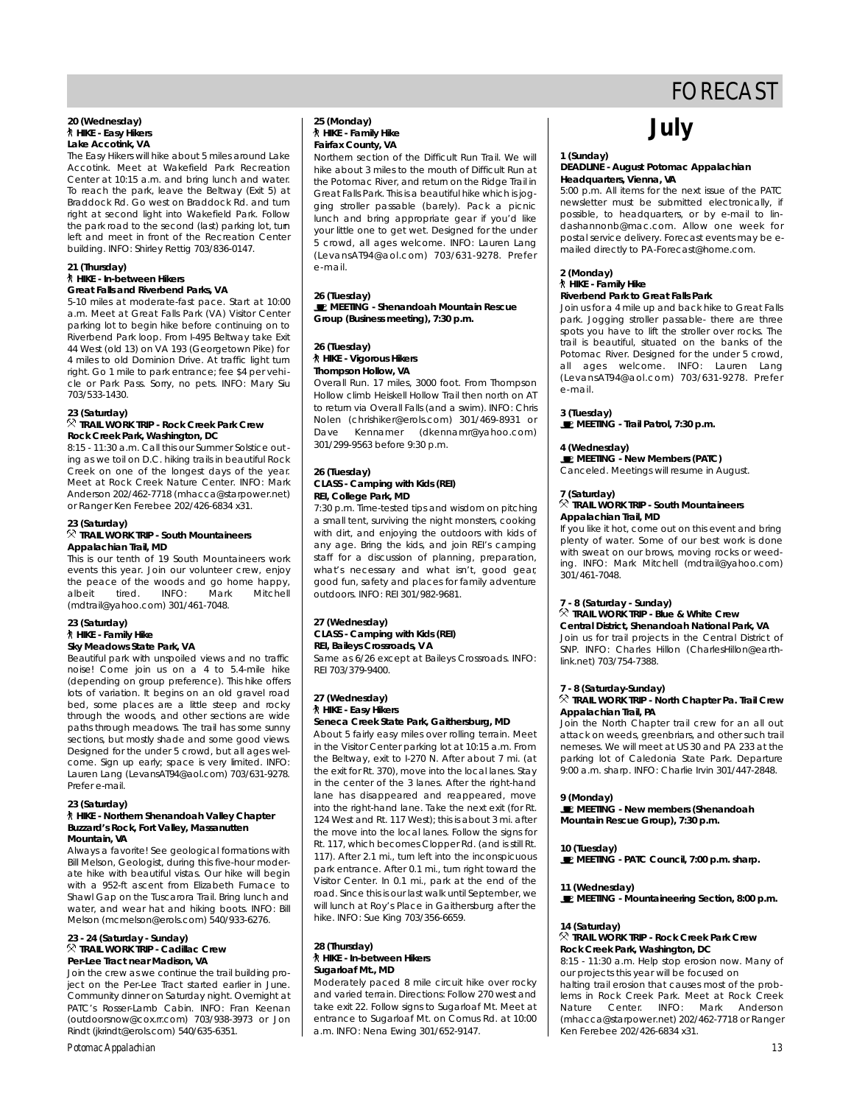# **20 (Wednesday)** Lake Accotink, VA

The Easy Hikers will hike about 5 miles around Lake Accotink. Meet at Wakefield Park Recreation Center at 10:15 a.m. and bring lunch and water. To reach the park, leave the Beltway (Exit 5) at Braddock Rd. Go west on Braddock Rd. and turn right at second light into Wakefield Park. Follow the park road to the second (last) parking lot, tum left and meet in front of the Recreation Center left and meet in front of the Recreation Center

# **21 (Thursday)**

## **Great Falls and Riverbend Parks, VA**

 $b$  building. In the sharley rettig 703/836-0147.

5-10 miles at moderate-fast pace. Start at 10:00 a.m. Meet at Great Falls Park (VA) Visitor Center parking lot to begin hike before continuing on to port of the begin his begin to be a king the continuity of the continuity of the continuity of the continuity on the continuity of the continuity of the continuity of the continuity of the continuity of the continuity of t 44 West (old 13) on VA 193 (Georgetown Pike) for 4 miles to old Dominion Drive. At traffic light turn right. Go 1 mile to park entrance; fee \$4 per vehiright. Go 1 mile to paint entrance; fee \$4 per vehicle or Pain Pass. Sorry, no pots. Info: Mary Sia  $703/500 + 100$ 

### **23 (Saturday) Rock Creek Park, Washington, DC**

8:15 - 11:30 a.m. Call this our Summer Solstice out ing as we toil on D.C. hiking trails in beautiful Rock Creek on one of the longest days of the year. Meet at Rock Creek Nature Center. INFO: Mark Anderson 202/462-7718 (mhacca@starpower.net) or Ranger Ken Ferebee 202/426-6834 x31. or nanger Ken Ferebee 202/426-6834 x31.

### **23 (Saturday) Appalachian Trail, MD**

**This is our tenth of 19 South Mountaineers work** events this year. Join our volunteer crew, enjoy events this year. Join our volunteer crew, enjoy the peace of the woods and go home happy,<br>alboit the line MEO: Mark Mitchell albeit till det mitteller man mitteller.<br>Imdtrall@vaboo.com\ 201/441\_7049  $($ manan $\sigma$ yahoo.com) 301/461-7048.

# **23 (Saturday) Sky Meadows State Park, VA**

Beautiful park with unspoiled views and no traffic noise! Come join us on a 4 to 5.4-mile hike (depending on group preference). This hike offers lots of variation. It begins on an old gravel road bed, some places are a little steep and rocky through the woods, and other sections are wide paths through meadows. The trail has some sunny sections, but mostly shade and some good views. Designed for the under 5 crowd, but all ages welcome. Sign up early; space is very limited. INFO: come. sign up cany, space is very limited. In the come of the come of the come of the come of the come of the c Laaron Lang (LovansAn 710 aol.com) 703/631-7278.<br>Drofer e meil P refer e-mail.

### **7 HIKE - Northern Shenandoah Valley Chapter HIKE - Northern Shenandoah Valley Ghapter Buzzard's Rock, Fort Valley, Massanutten**

**Mountain, VA** Bill Melson, Geologist, during this five-hour moderate hike with beautiful vistas. Our hike will begin with a 952-ft ascent from Elizabeth Furnace to Shawl Gap on the Tuscarora Trail. Bring lunch and water, and wear hat and hiking boots. INFO: Bill Melson (mcmelson@erols.com) 540/933-6276.

### $M$ elson (momelson@erols.com) 540/933-6276. **23 - 24 (Saturday - Sunday)** Per-Lee Tract near Madison, VA

Join the crew as we continue the trail building project on the Per-Lee Tract started earlier in June. .<br>Community dinner on Saturday night. Overnight at PATC's Rosser-Lamb Cabin. INFO: Fran Keenan (outdoorsnow@cox.rr.com) 703/938-3973 or Jon ( outdoors for a commoding on you you can be a sen Rindt (jkrindt@erols.com) 540/635-6351.

### *Potomac Appalachian 13*

## **25 (Monday) Fairfax County, VA**

Northern section of the Difficult Run Trail. We will hike about 3 miles to the mouth of Difficult Run at the Potomac River, and return on the Ridge Trail in Great Falls Park. This is a beautiful hike which is jogging stroller passable (barely). Pack a picnic lunch and bring appropriate gear if you'd like your little one to get wet. Designed for the under 5 crowd, all ages welcome. INFO: Lauren Lang 5 crowd, all ages welcome. INFO: Lauren Lang  $($  L e  $\frac{1}{2}$  and  $\frac{1}{2}$   $\frac{1}{2}$  and  $\frac{1}{2}$  and  $\frac{1}{2}$  and  $\frac{1}{2}$ e ...e...

**26 (Tuesday) MEETING - Shenandoah Mountain Rescue Group (Business meeting), 7:30 p.m.**

# **26 (Tuesday) Thompson Hollow, VA**

Overall Run. 17 miles, 3000 foot. From Thompson Hollow climb Heiskell Hollow Trail then north on AT to return via Overall Falls (and a swim). INFO: Chris Nolen (chrishiker@erols.com) 301/469-8931 or Dave Kennamer (dkennamr@yahoo.com) Dave Kennamer (dkennamr@yahoo.com)  $301/297$  and  $300$  before  $9.00$  p.m.

# **26 (Tuesday) REI.** College Park, MD

7:30 p.m. Time-tested tips and wisdom on pitching a small tent, surviving the night monsters, cooking with dirt, and enjoying the outdoors with kids of any age. Bring the kids, and join REI's camping staff for a discussion of planning, preparation, what's necessary and what isn't, good gear, good fun, safety and places for family adventure good fun, safety and places for family adventure outdoors. INFO: REI 301/982-9681.

# **27 (Wednesday) REI, Baileys Crossroads, VA**

Same as 6/26 except at Baileys Crossroads, INFO: Same as 6/26 except at Baileys Crossicads. INFO:<br>DEL 702/270 0400 REI 703/379-7100.

# **27 (Wednesday)**

### Seneca Creek State Park, Gaithersburg, MD

About 5 fairly easy miles over rolling terrain. Meet in the Visitor Center parking lot at 10:15 a.m. From the Beltway, exit to I-270 N. After about 7 mi. (at the exit for Rt. 370), move into the local lanes. Stay in the center of the 3 lanes. After the right-hand lane has disappeared and reappeared, move into the right-hand lane. Take the next exit (for Rt. 124 West and Rt. 117 West); this is about 3 mi. after the move into the local lanes. Follow the signs for Rt. 117, which becomes Clopper Rd. (and is still Rt. 117). After 2.1 mi., turn left into the inconspicuous park entrance. After 0.1 mi., turn right toward the Visitor Center. In 0.1 mi., park at the end of the road. Since this is our last walk until September, we will lunch at Roy's Place in Gaithersburg after the will lunch at Roy's Place in Gaithersburg after the  $h_{\text{max}}$  in  $\sigma$  , sub-king 703/356-6659.

## **28 (Thursday) Sugarloaf Mt., MD**

Moderately paced 8 mile circuit hike over rocky and varied terrain. Directions: Follow 270 west and take exit 22. Follow signs to Sugarloaf Mt. Meet at entrance to Sugarloaf Mt. on Comus Rd. at 10:00 entrance to Sugarloaf Mt. on Comus Rd. at 10:00 a.m. INFO: Nena Ewing 301/652-9147.

# **July**

## 1 (Sunday)<br>DEADLINE - August *Potomac Appalachian* **Headquarters, Vienna, VA**

5:00 p.m. All items for the next issue of the PATC newsletter must be submitted electronically, if possible, to headquarters, or by e-mail to lindashannonb@mac.com. Allow one week for postal service delivery. Forecast events may be epostal service delivery. Forecast events may be e-<br>mailed directly to BA-Eorecast@bome.com mailed directly to PA-Forecast@home.com.

# **2 (Monday)**

### **Riverbend Park to Great Falls Park**

**Right** River in and the to the River of Great Falls Indian Park park. Jogging stroller passable- there are three spots you have to lift the stroller over rocks. The trail is beautiful, situated on the banks of the Potomac River. Designed for the under 5 crowd, all ages welcome. INFO: Lauren Lang all ages melechier information Lang  $($  Lordinarity its distribution,  $\frac{1}{2}$  football. Prefer friends

**3** (Tuesday) **MEETING - Trail Patrol, 7:30 p.m.**

**4 (Wednesday) MEETING - NON-MOMBOS (PATC)** Canceled. Meetings will resume in August.

## **7 (Saturday) Appalachian Trail, MD**

**A**<br>If you like it hot come out on this event and bring plenty of water. Some of our best work is done with sweat on our brows, moving rocks or weeding. INFO: Mark Mitchell (mdtrail@yahoo.com)  $301/461 - 7048$ 301110110101<br>3021

# **7 - 8 (Saturday - Sunday)**

# **Central District, Shenandoah National Park, VA**

Join us for trail projects in the Central District of SNP. INFO: Charles Hillon (CharlesHillon@earth-S. II. I. III. C. Charles Hillon (Charles Illien Coarthlink.net) 703/754-7388.

## **7 - 8 (Saturday-Sunday) Appalachian Trail, PA.**

Join the North Chapter trail crew for an all out attack on weeds, greenbriars, and other such trail nemeses. We will meet at US 30 and PA 233 at the parking lot of Caledonia State Park. Departure parking for of Caledonia State Park. Departe. D 9:00 a.m. sharp. INFO: Charlie Irvin 301/447-2848.

9 (Monday)<br>**E** MEETING - New members (Shenandoah **MEETING - New members (Shenandoah Mountain Rescue Group), 7:30 p.m.**

**10** (Tuesday) **MEETING - PATC Council, 7:00 p.m. sharp.**

**11 (Wednesday) MEETING - Mountaineering Section, 8:00 p.m.**

### 14 (Saturday)

### $\%$  TRAIL WORK TRIP - Rock Creek Park Crew **Rock Creek Park, Washington, DC**

 $K$ en Ferebee 202/426-6834  $\times$ 

8:15 - 11:30 a.m. Help stop erosion now. Many of our projects this year will be focused on halting trail erosion that causes most of the problems in Rock Creek Park. Meet at Rock Creek Nature Center INEO: Mark Anderson (mhacca@starpower.net) 202/462-7718 or Ranger (mhacca@starpower.net) 202/462-7718 or Ranger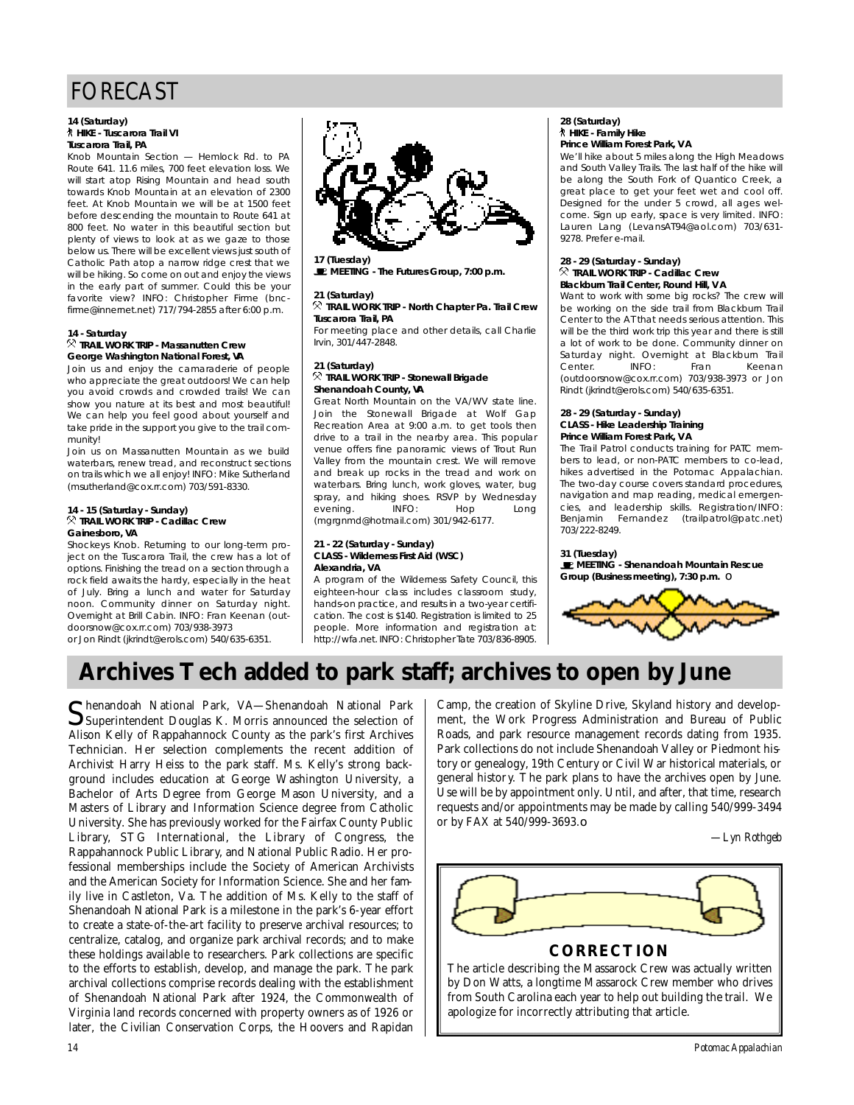## **14 (Saturday) Tuscarora Trail PA**

Knob Mountain Section - Hemlock Rd, to PA Route 641. 11.6 miles, 700 feet elevation loss. We will start atop Rising Mountain and head south towards Knob Mountain at an elevation of 2300 feet. At Knob Mountain we will be at 1500 feet before descending the mountain to Route 641 at 800 feet. No water in this beautiful section but plenty of views to look at as we gaze to those below us. There will be excellent views just south of Catholic Path atop a narrow ridge crest that we will be hiking. So come on out and enjoy the views in the early part of summer. Could this be your favorite view? INFO: Christopher Firme (bncfavorito views and characteristic views firms (bnc $f_{\text{min}}$  ,  $f_{\text{min}}$  ,  $f_{\text{min}}$  ,  $f_{\text{min}}$  ,  $f_{\text{max}}$  and  $f_{\text{max}}$  p.m.

## **14 - Saturday George Washington National Forest, VA**

Join us and enjoy the camaraderie of people who appreciate the great outdoors! We can help you avoid crowds and crowded trails! We can show you nature at its best and most beautiful! We can help you feel good about yourself and we can help you foel good about yourself and take pride in the support you give to the trail community!<br>Join us on Massanutten Mountain as we build

waterbars, renew tread, and reconstruct sections on trails which we all enjoy! INFO: Mike Sutherland on trails which we all enjoy! INFO: Mike Sutherland  $(m<sub>3</sub>u<sub>1</sub>)$  and  $(m<sub>2</sub>u<sub>2</sub>)$  and  $(m<sub>3</sub>u<sub>3</sub>)$  and  $(m<sub>3</sub>u<sub>4</sub>)$  and  $(m<sub>3</sub>u<sub>3</sub>)$  and  $(m<sub>3</sub>u<sub>4</sub>)$  and  $(m<sub>3</sub>u<sub>4</sub>)$  and  $(m<sub>3</sub>u<sub>4</sub>)$  and  $(m<sub>3</sub>u<sub>4</sub>)$  and  $(m<sub>3</sub>u<sub>4</sub>$ 

## **14 - 15 (Saturday - Sunday) TRAIL MORK TRIP CAGINAC CREW**<br>Spechare MA

Gainesboro, VA<br>Shockeys Knob. Returning to our long-term project on the Tuscarora Trail, the crew has a lot of options. Finishing the tread on a section through a rock field awaits the hardy, especially in the heat of July. Bring a lunch and water for Saturday noon. Community dinner on Saturday night. Overnight at Brill Cabin. INFO: Fran Keenan (outdoorsnow@cox.rr.com) 703/938-3973 adonsnow@commodinj 703/938-3773<br>or. lon Dindt (ikrindt@orok.com) F40/4

or Jon Rindt (jkrindt@erols.com) 540/635-6351.

**17 (Tuesday) MEETING - The Futures Group, 7:00 p.m.**

**21 (Saturday) TRAIL WORK TRIP - North Chapter Pa. Trail Crew Tuscarora Trail, PA**

For mooting place and other details, call charlies  $......$ , 30 $...$ ,  $...$  20 $...$ 

### 21 (Saturday)  $\overline{\mathcal{R}}$  TRAIL WORK TRIP - Stonewall Brigade **Shenandoah County, VA**

Great North Mountain on the VA/WV state line. Join the Stonewall Brigade at Wolf Gap Recreation Area at 9:00 a.m. to get tools then drive to a trail in the nearby area. This popular venue offers fine panoramic views of Trout Run Valley from the mountain crest. We will remove and break up rocks in the tread and work on waterbars. Bring lunch, work gloves, water, bug waterbars. Bring lunch, work gloves, water, bug spray, and himing shoos. Rover by Wodnesday evening. Info: hop Long  $($ mgrgmmd $\sigma$ notmail.com) 301/942-6177.

# **21 - 22 (Saturday - Sunday) Alexandria, VA**

A program of the Wilderness Safety Council, this eighteen-hour class includes classroom study, hands-on practice, and results in a two-year certification. The cost is \$140. Registration is limited to 25 people. More information and registration at: people. More information and registration at: http://wia.net.info: Christopher Tate 703/836-8705.

## **28 (Saturday) Prince William Forest Park, VA**

We'll hike about 5 miles along the High Meadows and South Valley Trails. The last half of the hike will be along the South Fork of Quantico Creek, a great place to get your feet wet and cool off. Designed for the under 5 crowd, all ages welcome. Sign up early, space is very limited. INFO: Lauren Lang (LevansAT94@aol.com) 703/631-Laaron Lang (Lotans Mirodonoom) 703/631-<br>0270 Drefer e meil  $P<sub>2</sub>$   $P<sub>3</sub>$ . Prefer e-mail.

## **28 - 29 (Saturday - Sunday) Blackburn Trail Center, Round Hill, VA**

Want to work with some big rocks? The crew will be working on the side trail from Blackburn Trail Center to the AT that needs serious attention. This will be the third work trip this year and there is still a lot of work to be done. Community dinner on a lot of work to be done. Community dinner on saturaaj night. Overnight at Blackburn Trail Center. INFO: Fran Keenan<br>(outdoorsnow@cox.rr.com) 703/938-3973 or Jon (outdoorsnow@commooni) 703/938-3718-31-3811<br>Dindt (ikrindt@orek.com) F40/42E-42E1 Rindt (jkrindt@erols.com) 540/635-6351.

# **28 - 29 (Saturday - Sunday) Prince William Forest Park, VA**

The Trail Patrol conducts training for PATC members to lead, or non-PATC members to co-lead, hikes advertised in the Potomac Appalachian. The two-day course covers standard procedures. navigation and map reading, medical emergencies, and leadership skills. Registration/INFO: Benjamin Fernandez (trailpatrol@patc.net) Benjamin Frenhandez (trailpatrois pateinot)<br>702/322 0240  $703/2226$ 

**31 (Tuesday) MEETING - Shenandoah Mountain Rescue Group (Business meeting), 7:30 p.m.** ❏

![](_page_13_Picture_26.jpeg)

# **Archives Tech added to park staff; archives to open by June**

Shenandoah National Park, VA—Shenandoah National Park<br>Superintendent Douglas K. Morris announced the selection of henandoah National Park, VA—Shenandoah National Park Alison Kelly of Rappahannock County as the park's first Archives Technician. Her selection complements the recent addition of Archivist Harry Heiss to the park staff. Ms. Kelly's strong background includes education at George Washington University, a Bachelor of Arts Degree from George Mason University, and a Masters of Library and Information Science degree from Catholic University. She has previously worked for the Fairfax County Public Library, STG International, the Library of Congress, the Rappahannock Public Library, and National Public Radio. Her professional memberships include the Society of American Archivists and the American Society for Information Science. She and her family live in Castleton, Va. The addition of Ms. Kelly to the staff of Shenandoah National Park is a milestone in the park's 6-year effort to create a state-of-the-art facility to preserve archival resources; to centralize, catalog, and organize park archival records; and to make these holdings available to researchers. Park collections are specific to the efforts to establish, develop, and manage the park. The park archival collections comprise records dealing with the establishment of Shenandoah National Park after 1924, the Commonwealth of Virginia land records concerned with property owners as of 1926 or later, the Civilian Conservation Corps, the Hoovers and Rapidan

Camp, the creation of Skyline Drive, Skyland history and development, the Work Progress Administration and Bureau of Public Roads, and park resource management records dating from 1935. Park collections do not include Shenandoah Valley or Piedmont history or genealogy, 19th Century or Civil War historical materials, or general history. The park plans to have the archives open by June. Use will be by appointment only. Until, and after, that time, research requests and/or appointments may be made by calling 540/999-3494 or by FAX at 540/999-3693.❏

*—Lyn Rothgeb*

![](_page_13_Picture_31.jpeg)

The article describing the Massarock Crew was actually written by Don Watts, a longtime Massarock Crew member who drives from South Carolina each year to help out building the trail. We apologize for incorrectly attributing that article.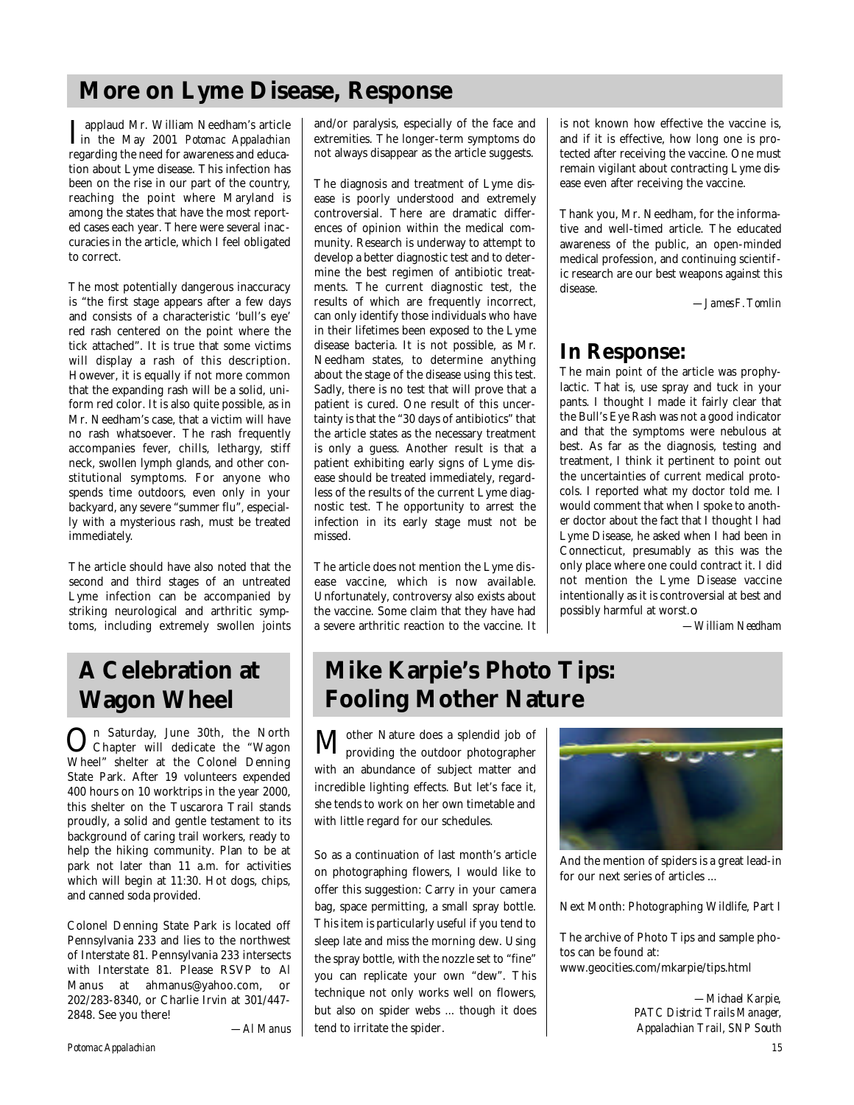# **More on Lyme Disease, Response**

I applaud Mr. William Needham's article<br>
in the May 2001 Potomac Appalachian in the May 2001 *Potomac Appalachian* regarding the need for awareness and education about Lyme disease. This infection has been on the rise in our part of the country, reaching the point where Maryland is among the states that have the most reported cases each year. There were several inaccuracies in the article, which I feel obligated to correct.

The most potentially dangerous inaccuracy is "the first stage appears after a few days and consists of a characteristic 'bull's eye' red rash centered on the point where the tick attached". It is true that some victims will display a rash of this description. However, it is equally if not more common that the expanding rash will be a solid, uniform red color. It is also quite possible, as in Mr. Needham's case, that a victim will have no rash whatsoever. The rash frequently accompanies fever, chills, lethargy, stiff neck, swollen lymph glands, and other constitutional symptoms. For anyone who spends time outdoors, even only in your backyard, any severe "summer flu", especially with a mysterious rash, must be treated immediately.

The article should have also noted that the second and third stages of an untreated Lyme infection can be accompanied by striking neurological and arthritic symptoms, including extremely swollen joints

# **A Celebration at Wagon Wheel**

**On** Saturday, June 30th, the North<br>Chapter will dedicate the "Wagon Chapter will dedicate the "Wagon Wheel" shelter at the Colonel Denning State Park. After 19 volunteers expended 400 hours on 10 worktrips in the year 2000, this shelter on the Tuscarora Trail stands proudly, a solid and gentle testament to its background of caring trail workers, ready to help the hiking community. Plan to be at park not later than 11 a.m. for activities which will begin at 11:30. Hot dogs, chips, and canned soda provided.

Colonel Denning State Park is located off Pennsylvania 233 and lies to the northwest of Interstate 81. Pennsylvania 233 intersects with Interstate 81. Please RSVP to Al Manus at ahmanus@yahoo.com, or 202/283-8340, or Charlie Irvin at 301/447- 2848. See you there!

*—Al Manus*

and/or paralysis, especially of the face and extremities. The longer-term symptoms do not always disappear as the article suggests.

The diagnosis and treatment of Lyme disease is poorly understood and extremely controversial. There are dramatic differences of opinion within the medical community. Research is underway to attempt to develop a better diagnostic test and to determine the best regimen of antibiotic treatments. The current diagnostic test, the results of which are frequently incorrect, can only identify those individuals who have in their lifetimes been exposed to the Lyme disease bacteria. It is not possible, as Mr. Needham states, to determine anything about the stage of the disease using this test. Sadly, there is no test that will prove that a patient is cured. One result of this uncertainty is that the "30 days of antibiotics" that the article states as the necessary treatment is only a guess. Another result is that a patient exhibiting early signs of Lyme disease should be treated immediately, regardless of the results of the current Lyme diagnostic test. The opportunity to arrest the infection in its early stage must not be missed.

The article does not mention the Lyme disease vaccine, which is now available. Unfortunately, controversy also exists about the vaccine. Some claim that they have had a severe arthritic reaction to the vaccine. It

is not known how effective the vaccine is, and if it is effective, how long one is protected after receiving the vaccine. One must remain vigilant about contracting Lyme disease even after receiving the vaccine.

Thank you, Mr. Needham, for the informative and well-timed article. The educated awareness of the public, an open-minded medical profession, and continuing scientific research are our best weapons against this disease.

*—James F. Tomlin*

# **In Response:**

The main point of the article was prophylactic. That is, use spray and tuck in your pants. I thought I made it fairly clear that the Bull's Eye Rash was not a good indicator and that the symptoms were nebulous at best. As far as the diagnosis, testing and treatment, I think it pertinent to point out the uncertainties of current medical protocols. I reported what my doctor told me. I would comment that when I spoke to another doctor about the fact that I thought I had Lyme Disease, he asked when I had been in Connecticut, presumably as this was the only place where one could contract it. I did not mention the Lyme Disease vaccine intentionally as it is controversial at best and possibly harmful at worst.❏

*—William Needham*

# **Mike Karpie's Photo Tips: Fooling Mother Nature**

 $\mathbf{M}^\text{other\; Nature\; does a\,splendid\; job\; of \textit{providing the outdoor photographer}}$ with an abundance of subject matter and incredible lighting effects. But let's face it, she tends to work on her own timetable and with little regard for our schedules.

So as a continuation of last month's article on photographing flowers, I would like to offer this suggestion: Carry in your camera bag, space permitting, a small spray bottle. This item is particularly useful if you tend to sleep late and miss the morning dew. Using the spray bottle, with the nozzle set to "fine" you can replicate your own "dew". This technique not only works well on flowers, but also on spider webs ... though it does tend to irritate the spider.

![](_page_14_Picture_20.jpeg)

And the mention of spiders is a great lead-in for our next series of articles ...

Next Month: Photographing Wildlife, Part I

The archive of Photo Tips and sample photos can be found at: www.geocities.com/mkarpie/tips.html

> *—Michael Karpie, PATC District Trails Manager, Appalachian Trail, SNP South*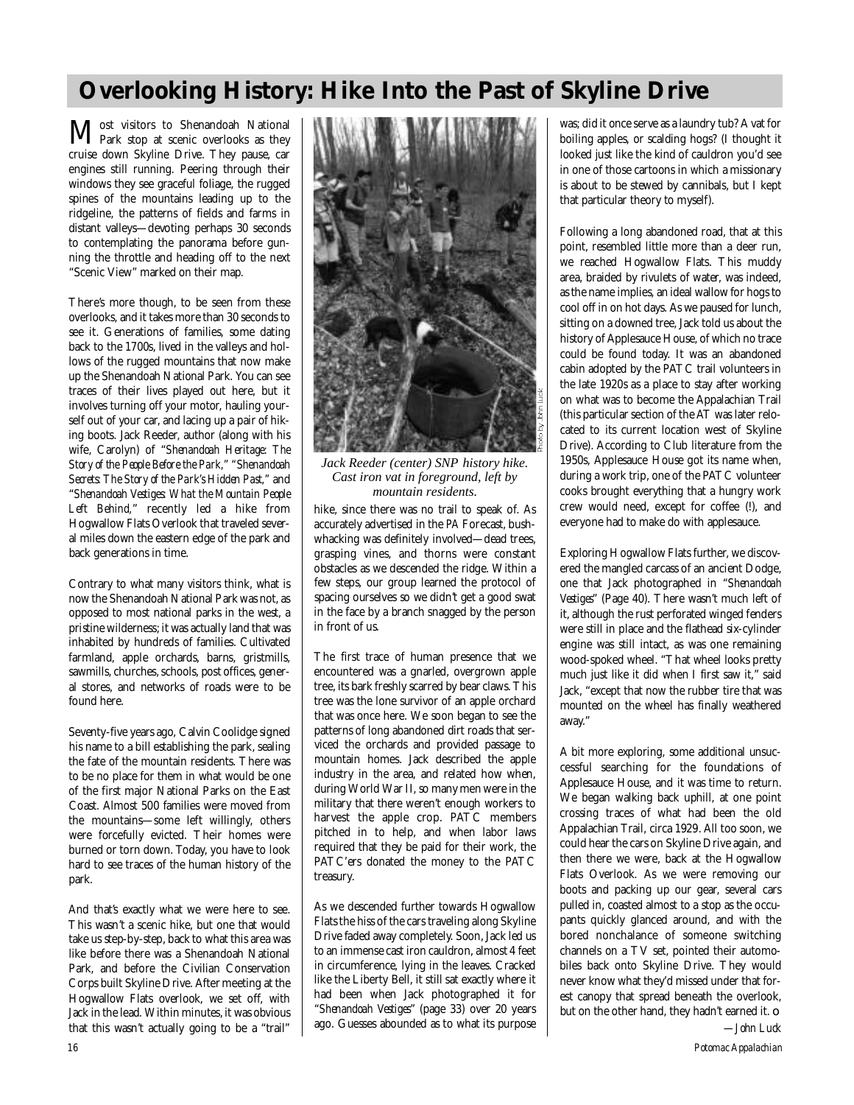# **Overlooking History: Hike Into the Past of Skyline Drive**

**M**ost visitors to Shenandoah National<br>Park stop at scenic overlooks as they cruise down Skyline Drive. They pause, car engines still running. Peering through their windows they see graceful foliage, the rugged spines of the mountains leading up to the ridgeline, the patterns of fields and farms in distant valleys—devoting perhaps 30 seconds to contemplating the panorama before gunning the throttle and heading off to the next "Scenic View" marked on their map.

There's more though, to be seen from these overlooks, and it takes more than 30 seconds to see it. Generations of families, some dating back to the 1700s, lived in the valleys and hollows of the rugged mountains that now make up the Shenandoah National Park. You can see traces of their lives played out here, but it involves turning off your motor, hauling yourself out of your car, and lacing up a pair of hiking boots. Jack Reeder, author (along with his wife, Carolyn) of "*Shenandoah Heritage: The* Story of the People Before the Park," "Shenandoah *Secrets: The Story of the Park's Hidden Past,"* and "*Shenandoah Vestiges: What the Mountain People* Left Behind," recently led a hike from Hogwallow Flats Overlook that traveled several miles down the eastern edge of the park and back generations in time.

Contrary to what many visitors think, what is now the Shenandoah National Park was not, as opposed to most national parks in the west, a pristine wilderness; it was actually land that was inhabited by hundreds of families. Cultivated farmland, apple orchards, barns, gristmills, sawmills, churches, schools, post offices, general stores, and networks of roads were to be found here.

Seventy-five years ago, Calvin Coolidge signed his name to a bill establishing the park, sealing the fate of the mountain residents. There was to be no place for them in what would be one of the first major National Parks on the East Coast. Almost 500 families were moved from the mountains—some left willingly, others were forcefully evicted. Their homes were burned or torn down. Today, you have to look hard to see traces of the human history of the park.

And that's exactly what we were here to see. This wasn't a scenic hike, but one that would take us step-by-step, back to what this area was like before there was a Shenandoah National Park, and before the Civilian Conservation Corps built Skyline Drive. After meeting at the Hogwallow Flats overlook, we set off, with Jack in the lead. Within minutes, it was obvious that this wasn't actually going to be a "trail"

![](_page_15_Picture_6.jpeg)

*Jack Reeder (center) SNP history hike. Cast iron vat in foreground, left by mountain residents.*

hike, since there was no trail to speak of. As accurately advertised in the *PA* Forecast, bushwhacking was definitely involved—dead trees, grasping vines, and thorns were constant obstacles as we descended the ridge. Within a few steps, our group learned the protocol of spacing ourselves so we didn't get a good swat in the face by a branch snagged by the person in front of us.

The first trace of human presence that we encountered was a gnarled, overgrown apple tree, its bark freshly scarred by bear claws. This tree was the lone survivor of an apple orchard that was once here. We soon began to see the patterns of long abandoned dirt roads that serviced the orchards and provided passage to mountain homes. Jack described the apple industry in the area, and related how when, during World War II, so many men were in the military that there weren't enough workers to harvest the apple crop. PATC members pitched in to help, and when labor laws required that they be paid for their work, the PATC'ers donated the money to the PATC treasury.

As we descended further towards Hogwallow Flats the hiss of the cars traveling along Skyline Drive faded away completely. Soon, Jack led us to an immense cast iron cauldron, almost 4 feet in circumference, lying in the leaves. Cracked like the Liberty Bell, it still sat exactly where it had been when Jack photographed it for "*Shenandoah Vestiges*" (page 33) over 20 years ago. Guesses abounded as to what its purpose

was; did it once serve as a laundry tub? A vat for boiling apples, or scalding hogs? (I thought it looked just like the kind of cauldron you'd see in one of those cartoons in which a missionary is about to be stewed by cannibals, but I kept that particular theory to myself).

Following a long abandoned road, that at this point, resembled little more than a deer run, we reached Hogwallow Flats. This muddy area, braided by rivulets of water, was indeed, as the name implies, an ideal wallow for hogs to cool off in on hot days. As we paused for lunch, sitting on a downed tree, Jack told us about the history of Applesauce House, of which no trace could be found today. It was an abandoned cabin adopted by the PATC trail volunteers in the late 1920s as a place to stay after working on what was to become the Appalachian Trail (this particular section of the  $\widehat{AT}$  was later relocated to its current location west of Skyline Drive). According to Club literature from the 1950s, Applesauce House got its name when, during a work trip, one of the PATC volunteer cooks brought everything that a hungry work crew would need, except for coffee (!), and everyone had to make do with applesauce.

Exploring Hogwallow Flats further, we discove red the mangled carcass of an ancient Dodge, one that Jack photographed in "Shenandoah *Vestiges*" (Page 40). There wasn't much left of it, although the rust perforated winged fenders were still in place and the flathead six-cylinder engine was still intact, as was one remaining wood-spoked wheel. "That wheel looks pretty much just like it did when I first saw it," said Jack, "except that now the rubber tire that was mounted on the wheel has finally weathered away."

A bit more exploring, some additional unsuccessful searching for the foundations of Applesauce House, and it was time to return. We began walking back uphill, at one point crossing traces of what had been the old Appalachian Trail, circa 1929. All too soon, we could hear the cars on Skyline Drive again, and then there we were, back at the Hogwallow Flats Overlook. As we were removing our boots and packing up our gear, several cars pulled in, coasted almost to a stop as the occupants quickly glanced around, and with the bored nonchalance of someone switching channels on a TV set, pointed their automobiles back onto Skyline Drive. They would never know what they'd missed under that forest canopy that spread beneath the overlook, but on the other hand, they hadn't earned it. ❏ *—John Luck*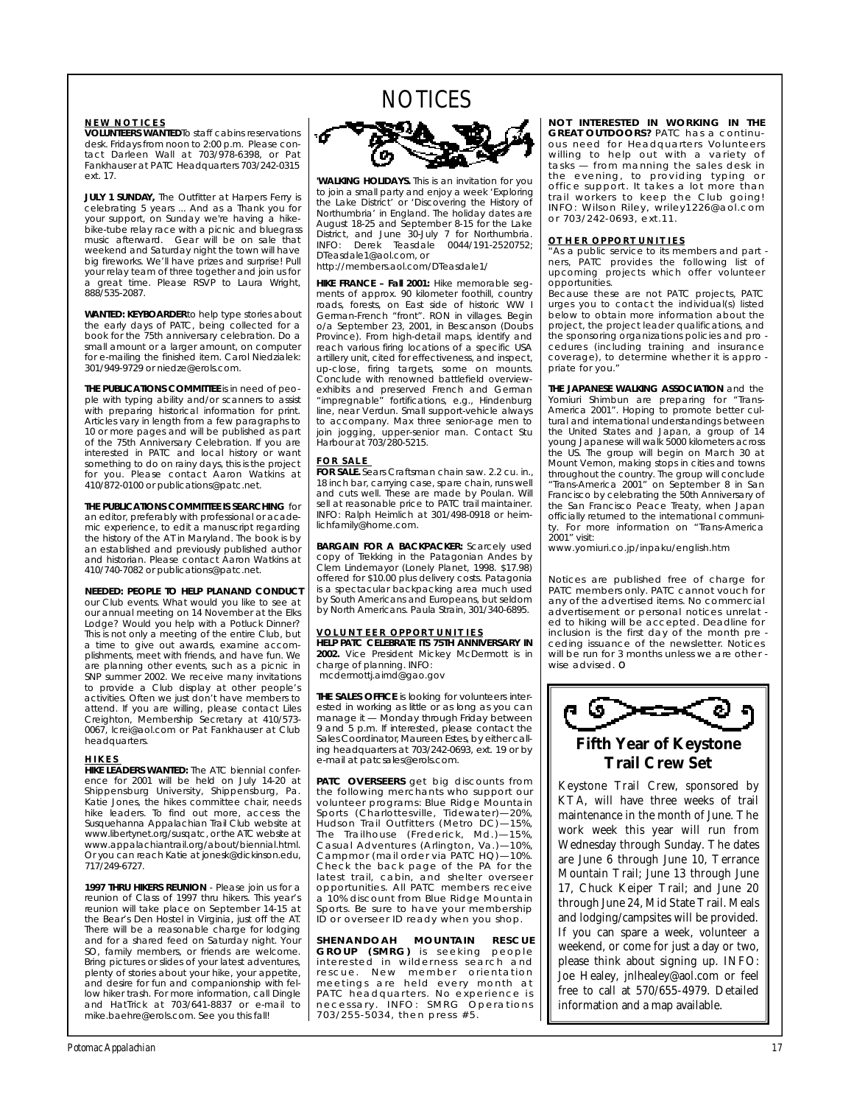# NOTICES

**NEW NOTICES**<br>**VOLUNTEERS WANTED**To staff cabins reservations desk. Fridays from noon to 2:00 p.m. Please contact Darleen Wall at 703/978-6398, or Pat tact Darleen Mail at 703/978-6398, participated Fankhauser at PATC Headquarters 703/242-0315 ext. 17.

**JULY 1 SUNDAY,** The Outfitter at Harpers Ferry is celebrating 5 years ... And as a Thank you for vour support, on Sunday we're having a hikebike-tube relay race with a picnic and bluegrass music afterward. Gear will be on sale that weekend and Saturday night the town will have big fireworks. We'll have prizes and surprise! Pull your relay team of three together and join us for your relay team of three together and join us for<br>a great time. Please RSVP to Laura Wright,<br>888/535-2087  $\frac{8}{3}$ 

**WANTED: KEYBOARDER**to help type stories about the early days of PATC, being collected for a book for the 75th anniversary celebration. Do a small amount or a larger amount, on computer for e-mailing the finished item. Carol Niedzialek: 301/949-9729 or niedze@erols.com 301/949-9729 or niedze@erols.com.

**THE PUBLICATIONS COMMITTEE** is in need of peo-<br>ple with typing ability and/or scanners to assist with preparing historical information for print. Articles vary in length from a few paragraphs to 10 or more pages and will be published as part of the 75th Anniversary Celebration. If you are interested in PATC and local history or want something to do on rainy days, this is the project for you. Please contact Aaron Watkins at for you. Please contact Aaron Watkins at 410/872-0100 or publications@patc.net.

**THE PUBLICATIONS COMMITTEE IS SEARCHING** for an editor, preferably with professional or academic experience, to edit a manuscript regarding the history of the AT in Maryland. The book is by an established and previously published author and historian. Please contact Aaron Watkins at and historian. Please contact Aaron Watkins at 410/740-7082 or publications@patc.net.

**NEEDED: PEOPLE TO HELP PLANAND CONDUCT** our annual meeting on 14 November at the Elks Lodge? Would you help with a Potluck Dinner? This is not only a meeting of the entire Club, but a time to give out awards, examine accomplishments, meet with friends, and have fun. We are planning other events, such as a picnic in SNP summer 2002. We receive many invitations to provide a Club display at other people's activities. Often we just don't have members to activities. Of the willing, please contact Liles<br>Creighton, Membership Secretary at 410/573-<br>0067, lcrei@aol.com or Pat Fankhauser at Club<br>0067, lcrei@aol.com or Pat Fankhauser at Club headquarters.

**HIKES**<br>HIKE LEADERS WANTED: The ATC biennial confer-HIME LEADERS HIM ATCHING THE ATCHING BOARD OF THE ATCHING BOARD OF THE ATCHING THE ATCHING THE ATCHING THE ATCHING THE ATCHING THE ATCHING THE ATCHING THE ATCHING THE ATCHING THE ATCHING THE ATCHING THE ATCHING THE ATCHING Shippensburg University, Shippensburg, Pa. Katie Jones, the hikes committee chair, needs hike leaders. To find out more, access the Susquehanna Appalachian Trail Club website at www.libertynet.org/susgatc, or the ATC website at www.appalachiantrail.org/about/biennial.html. Or you can reach Katie at jonesk@dickinson.edu, Or you can reach Katie at jonesk@dickinson.edu, 7 1 7 / 2 4 9 - 6 7 2 7 .

**1997 THRU HIKERS REUNION** - Please join us for a reunion of Class of 1997 thru hikers. This year's reunion will take place on September 14-15 at the Bear's Den Hostel in Virginia, just off the AT. the Bear's Den Hostel in Virginia, just off the AT.<br>There will be a reasonable charge for lodging<br>and for a shared feed on Saturday night. Your SO, family members, or friends are welcome. Bring pictures or slides of your latest adventures, plenty of stories about your hike, your appetite, and desire for fun and companionship with fellow hiker trash. For more information, call Dingle and HatTrick at 703/641-8837 or e-mail to and Hatmore at 703/641-8837 or e-mail to<br>mike.baehre@erols.com. See you this fall!

![](_page_16_Picture_11.jpeg)

**'WALKING HOLIDAYS.** This is an invitation for you to join a small party and enjoy a week 'Exploring the Lake District' or 'Discovering the History of Northumbria' in England. The holiday dates are August 18-25 and September 8-15 for the Lake District, and June 30-July 7 for Northumbria. INFO: Derek Teasdale 0044/191-2520752: DTeasdale1@aol.com, or

DTeasdale1@aol.com, or http://members.aol.com/DTeasdale1/

**HIKE FRANCE – Fall 2001:** Hike memorable seg-<br>ments of approx. 90 kilometer foothill, country ments of approx. 90 kilometer foothill, country<br>Cerman French "front", PON in villages, Begin o/a September 23, 2001, in Bescanson (Doubs. Province). From high-detail maps, identify and reach various firing locations of a specific USA artillery unit, cited for effectiveness, and inspect, up-close, firing targets, some on mounts. Conclude with renowned battlefield overviewexhibits and preserved French and German "impregnable" fortifications, e.g., Hindenburg line, near Verdun. Small support-vehicle always line, near Verdun. Small support-vehicle always to accompany. Max three senior-age men to join jogging, upper-senior man. Contact Stu Harbour at 703/280-5215.

FOR SALE **Sears Craftsman chain saw. 2.2 cu. in.,** 18 inch bar, carrying case, spare chain, runs well and cuts well. These are made by Poulan. Will sell at reasonable price to PATC trail maintainer. INFO: Ralph Heimlich at 301/498-0918 or heimlichfamily@home.com. lionianiliy onomoloom.

**BARGAIN FOR A BACKPACKER:** Scarcely used copy of Trekking in the Patagonian Andes by Clem Lindemayor (Lonely Planet, 1998. \$17.98) offered for \$10.00 plus delivery costs. Patagonia is a spectacular backpacking area much used by South Americans and Europeans, but seldom by North Americans, Paula Strain, 301/340-6895.  $b$ y North Americans. Paula Strain, 301/340-6896.

<u>VOLUNTEER OPPORTUNITIES</u><br>HELP PATC CELEBRATE ITS 75TH ANNIVERSARY IN 2002. Vice President Mickey McDermott is in charge of planning. INFO: mcdermottj.aimd@gao.gov

**THE SALES OFFICE** is looking for volunteers inter-<br>ested in working as little or as long as you can  $m$ anage it  $-$  Monday through Friday between 9 and 5 p.m. If interested, please contact the Sales Coordinator, Maureen Estes, by either calling headquarters at 703/242-0693, ext. 19 or by dig headquarters at 703/242-0693, ext. 19 or by<br>e-mail at patcsales@erols.com.

**PATC OVERSEERS** get big discounts from the following merchants who support our volunteer programs: Blue Ridge Mountain Sports (Charlottesville, Tidewater)-20%, Hudson Trail Outfitters (Metro DC)-15%, The Trailhouse (Frederick, Md.)-15%, The Trailhouse (Frederick, Md.)—15%, Casual Adventures (Arlington, Va . ) — 1 0 % , Check the back page of the PA for the latest trail, cabin, and shelter overseer opportunities. All PATC members receive a 10% discount from Blue Ridge Mountain Sports. Be sure to have your membership Sports. Be sure to have your membership ID or overseer ID ready when you shop.

**SHENANDOAH MOUNTAIN RESCUE**<br>GROUP (SMRG) is seeking people interested in wilderness search and rescue. New member orientation meetings are held every month at PATC headquarters. No experience is necessary. INFO: SMRG Operations n ecessary. I NFO : SMRG Opera tions 703/255-5034, then press #5.

**NOT INTERESTED IN WORKING IN THE GREAT OUTDOORS?** PATC has a continu-**G R E AT OUTDOORS**<br>
Sous need for Headquarters Volunteers<br>
Willing to help out with a variety of  $task - from$  manning the sales desk in the evening, to providing typing or office support. It takes a lot more than trail workers to keep the Club going! trail workers to keep the Club going! INFO: Wilson Riley, wriley1226@aol.com  $\frac{1}{2}$ 

**OTHER OPPORTUNITIES**<br>"As a public service to its members and part ners, PATC provides the following list of *upcoming projects which offer volunteer*  $opportunities.$ 

Because these are not PATC projects, PATC *arges you to contact the individual(s) listed u rges you to contact the individual(s) listed* project, the project leader qualifications, and *phe sponsoring organizations policies and pro* cedures (including training and insurance *coverage)*, to determine whether it is appro priate for you. *priate for you."*

**THE JAPANESE WALKING ASSOCIATION** and the Yomiuri Shimbun are preparing for "Trans-America 2001". Hoping to promote better cultural and international understandings between the United States and Japan, a group of 14 young Japanese will walk 5000 kilometers across the US. The group will begin on March 30 at Mount Vernon, making stops in cities and towns Mount Vernon, making stops in cities and towns<br>throughout the country. The group will conclude<br>"Trans America. 2001", on September 8, in San Francisco by celebrating the 50th Anniversary of the San Francisco Peace Treaty, when Japan officially returned to the international communiofficially returned to the international communi-<br>ty. For more information on "Trans-America<br>2001" visit.

2001<br>www.yomiuri.co.jp/inpaku/english.htm

*Notices are published free of charge for* any of the advertised *items*. No commercial advertisement or personal notices unrelat ed to hiking will be accepted. Deadline for inclusion is the first day of the month pre ceding issuance of the newsletter. Notices will be run for 3 months unless we are other *will be run for 3 months unless we are other - wise advised.* ❏

![](_page_16_Picture_30.jpeg)

Keystone Trail Crew, sponsored by KTA, will have three weeks of trail maintenance in the month of June. The work week this year will run from Wednesday through Sunday. The dates are June 6 through June 10, Terrance Mountain Trail; June 13 through June 17, Chuck Keiper Trail; and June 20 through June 24, Mid State Trail. Meals and lodging/campsites will be provided. If you can spare a week, volunteer a weekend, or come for just a day or two, please think about signing up. INFO: Joe Healey, jnlhealey@aol.com or feel free to call at 570/655-4979. Detailed information and a map available.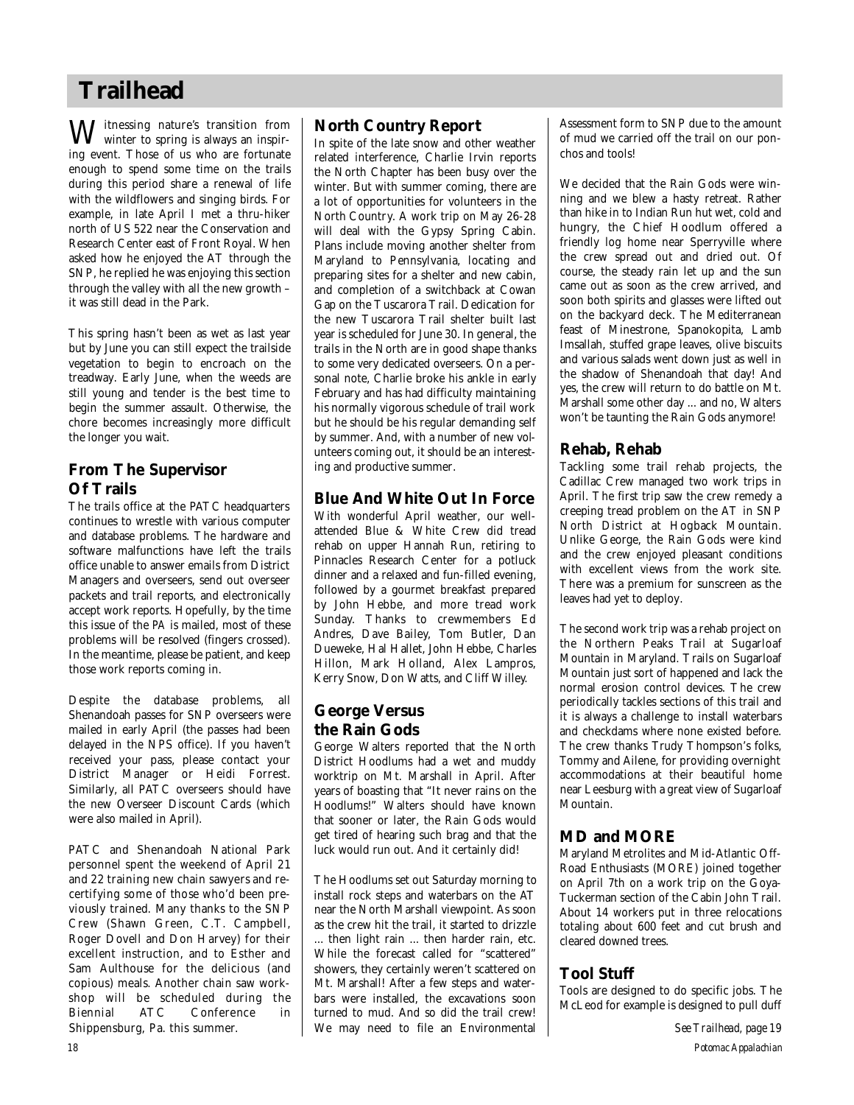# **Trailhead**

 $\mathbf{W}^\text{intessing nature's transition from}$ winter to spring is always an inspiring event. Those of us who are fortunate enough to spend some time on the trails during this period share a renewal of life with the wildflowers and singing birds. For example, in late April I met a thru-hiker north of US 522 near the Conservation and Research Center east of Front Royal. When asked how he enjoyed the AT through the SNP, he replied he was enjoying this section through the valley with all the new growth – it was still dead in the Park.

This spring hasn't been as wet as last year but by June you can still expect the trailside vegetation to begin to encroach on the treadway. Early June, when the weeds are still young and tender is the best time to begin the summer assault. Otherwise, the chore becomes increasingly more difficult the longer you wait.

# **From The Supervisor Of Trails**

The trails office at the PATC headquarters continues to wrestle with various computer and database problems. The hardware and software malfunctions have left the trails office unable to answer emails from District Managers and overseers, send out overseer packets and trail reports, and electronically accept work reports. Hopefully, by the time this issue of the *PA* is mailed, most of these problems will be resolved (fingers crossed). In the meantime, please be patient, and keep those work reports coming in.

Despite the database problems, all Shenandoah passes for SNP overseers were mailed in early April (the passes had been delayed in the NPS office). If you haven't received your pass, please contact your District Manager or Heidi Forrest. Similarly, all PATC overseers should have the new Overseer Discount Cards (which were also mailed in April).

PATC and Shenandoah National Park personnel spent the weekend of April 21 and 22 training new chain sawyers and re certifying some of those who'd been previously trained. Many thanks to the SNP C rew (Shawn Green, C.T. Campbell, Roger Dovell and Don Harvey) for their excellent instruction, and to Esther and Sam Aulthouse for the delicious (and copious) meals. Another chain saw workshop will be scheduled during the Biennial ATC Conference in Shippensburg, Pa. this summer.

# **North Country Report**

In spite of the late snow and other weather related interference, Charlie Irvin reports the North Chapter has been busy over the winter. But with summer coming, there are a lot of opportunities for volunteers in the North Country. A work trip on May 26-28 will deal with the Gypsy Spring Cabin. Plans include moving another shelter from Maryland to Pennsylvania, locating and preparing sites for a shelter and new cabin, and completion of a switchback at Cowan Gap on the Tuscarora Trail. Dedication for the new Tuscarora Trail shelter built last year is scheduled for June 30. In general, the trails in the North are in good shape thanks to some very dedicated overseers. On a personal note, Charlie broke his ankle in early February and has had difficulty maintaining his normally vigorous schedule of trail work but he should be his regular demanding self by summer. And, with a number of new volunteers coming out, it should be an interesting and productive summer.

# **Blue And White Out In Force**

With wonderful April weather, our wellattended Blue & White Crew did tread rehab on upper Hannah Run, retiring to Pinnacles Research Center for a potluck dinner and a relaxed and fun-filled evening, followed by a gourmet breakfast prepared by John Hebbe, and more tread work Sunday. Thanks to crewmembers Ed Andres, Dave Bailey, Tom Butler, Dan Dueweke, Hal Hallet, John Hebbe, Charles Hillon, Mark Holland, Alex Lampros, Kerry Snow, Don Watts, and Cliff Willey.

# **George Versus the Rain Gods**

George Walters reported that the North District Hoodlums had a wet and muddy worktrip on Mt. Marshall in April. After years of boasting that "It never rains on the Hoodlums!" Walters should have known that sooner or later, the Rain Gods would get tired of hearing such brag and that the luck would run out. And it certainly did!

The Hoodlums set out Saturday morning to install rock steps and waterbars on the AT near the North Marshall viewpoint. As soon as the crew hit the trail, it started to drizzle ... then light rain ... then harder rain, etc. While the forecast called for "scattered" showers, they certainly weren't scattered on Mt. Marshall! After a few steps and waterbars were installed, the excavations soon turned to mud. And so did the trail crew! We may need to file an Environmental Assessment form to SNP due to the amount of mud we carried off the trail on our ponchos and tools!

We decided that the Rain Gods were winning and we blew a hasty retreat. Rather than hike in to Indian Run hut wet, cold and hungry, the Chief Hoodlum offered a friendly log home near Sperryville where the crew spread out and dried out. Of course, the steady rain let up and the sun came out as soon as the crew arrived, and soon both spirits and glasses were lifted out on the backyard deck. The Mediterranean feast of Minestrone, Spanokopita, Lamb Imsallah, stuffed grape leaves, olive biscuits and various salads went down just as well in the shadow of Shenandoah that day! And yes, the crew will return to do battle on Mt. Marshall some other day ... and no, Walters won't be taunting the Rain Gods anymore!

# **Rehab, Rehab**

Tackling some trail rehab projects, the Cadillac Crew managed two work trips in April. The first trip saw the crew remedy a creeping tread problem on the AT in SNP North District at Hogback Mountain. Unlike George, the Rain Gods were kind and the crew enjoyed pleasant conditions with excellent views from the work site. There was a premium for sunscreen as the leaves had yet to deploy.

The second work trip was a rehab project on the Northern Peaks Trail at Sugarloaf Mountain in Maryland. Trails on Sugarloaf Mountain just sort of happened and lack the normal erosion control devices. The crew periodically tackles sections of this trail and it is always a challenge to install waterbars and checkdams where none existed before. The crew thanks Trudy Thompson's folks, Tommy and Ailene, for providing overnight accommodations at their beautiful home near Leesburg with a great view of Sugarloaf Mountain.

# **MD and MORE**

Maryland Metrolites and Mid-Atlantic Off-Road Enthusiasts (MORE) joined together on April 7th on a work trip on the Goya-Tuckerman section of the Cabin John Trail. About 14 workers put in three relocations totaling about 600 feet and cut brush and cleared downed trees.

# **Tool Stuff**

Tools are designed to do specific jobs. The McLeod for example is designed to pull duff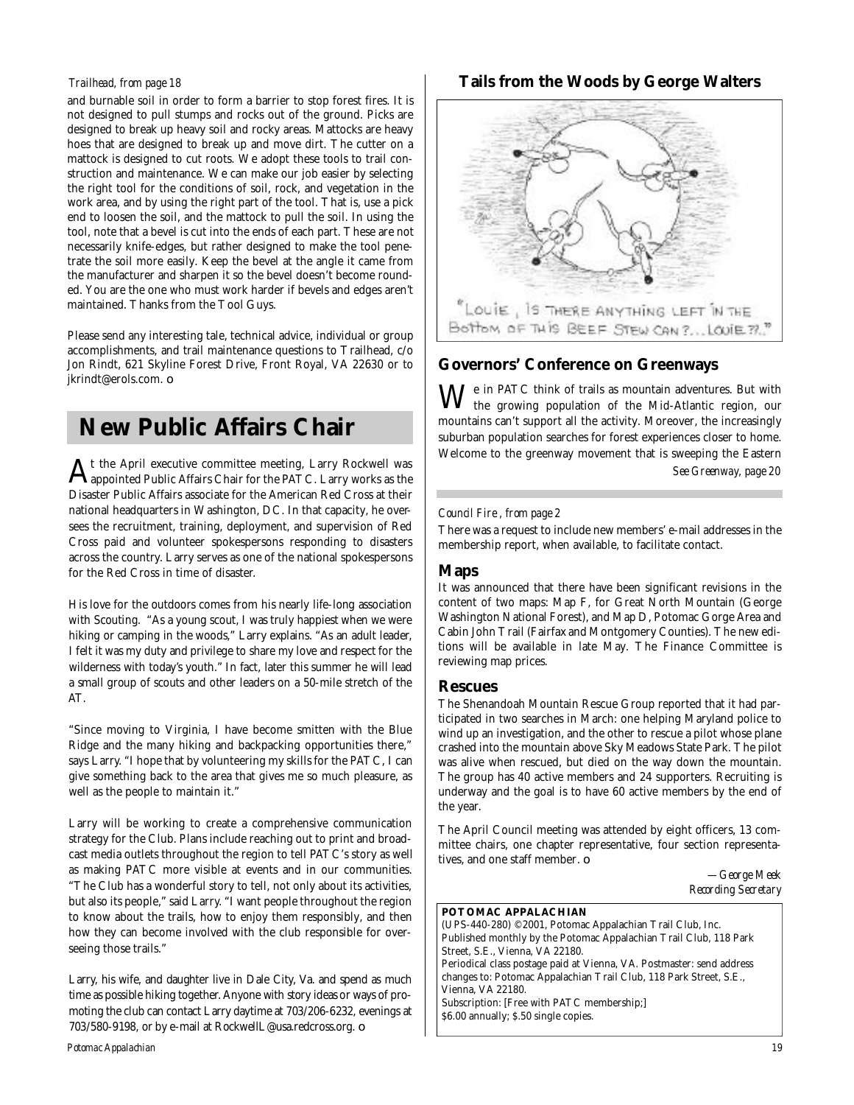### *Trailhead, from page 18*

and burnable soil in order to form a barrier to stop forest fires. It is not designed to pull stumps and rocks out of the ground. Picks are designed to break up heavy soil and rocky areas. Mattocks are heavy hoes that are designed to break up and move dirt. The cutter on a mattock is designed to cut roots. We adopt these tools to trail construction and maintenance. We can make our job easier by selecting the right tool for the conditions of soil, rock, and vegetation in the work area, and by using the right part of the tool. That is, use a pick end to loosen the soil, and the mattock to pull the soil. In using the tool, note that a bevel is cut into the ends of each part. These are not necessarily knife-edges, but rather designed to make the tool penetrate the soil more easily. Keep the bevel at the angle it came from the manufacturer and sharpen it so the bevel doesn't become rounded. You are the one who must work harder if bevels and edges aren't maintained. Thanks from the Tool Guys.

Please send any interesting tale, technical advice, individual or group accomplishments, and trail maintenance questions to Trailhead, c/o Jon Rindt, 621 Skyline Forest Drive, Front Royal, VA 22630 or to jkrindt@erols.com. ❏

# **New Public Affairs Chair**

 ${\rm A}$ t the April executive committee meeting, Larry Rockwell was appointed Public Affairs Chair for the PATC. Larry works as the appointed Public Affairs Chair for the PATC. Larry works as the Disaster Public Affairs associate for the American Red Cross at their national headquarters in Washington, DC. In that capacity, he oversees the recruitment, training, deployment, and supervision of Red Cross paid and volunteer spokespersons responding to disasters across the country. Larry serves as one of the national spokespersons for the Red Cross in time of disaster.

His love for the outdoors comes from his nearly life-long association with Scouting. "As a young scout, I was truly happiest when we were hiking or camping in the woods," Larry explains. "As an adult leader, I felt it was my duty and privilege to share my love and respect for the wilderness with today's youth." In fact, later this summer he will lead a small group of scouts and other leaders on a 50-mile stretch of the AT.

"Since moving to Virginia, I have become smitten with the Blue Ridge and the many hiking and backpacking opportunities there," says Larry. "I hope that by volunteering my skills for the PATC, I can give something back to the area that gives me so much pleasure, as well as the people to maintain it."

Larry will be working to create a comprehensive communication strategy for the Club. Plans include reaching out to print and broadcast media outlets throughout the region to tell PATC's story as well as making PATC more visible at events and in our communities. "The Club has a wonderful story to tell, not only about its activities, but also its people," said Larry. "I want people throughout the region to know about the trails, how to enjoy them responsibly, and then how they can become involved with the club responsible for overseeing those trails."

Larry, his wife, and daughter live in Dale City, Va. and spend as much time as possible hiking together. Anyone with story ideas or ways of promoting the club can contact Larry daytime at 703/206-6232, evenings at 703/580-9198, or by e-mail at RockwellL@usa.redcross.org.  $\Box$ 

### *Potomac Appalachian 19*

### **Tails from the Woods by George Walters**

![](_page_18_Picture_11.jpeg)

## **Governors' Conference on Greenways**

We in PATC think of trails as mountain adventures. But with the growing population of the Mid-Atlantic region, our mountains can't support all the activity. Moreover, the increasingly suburban population searches for forest experiences closer to home. Welcome to the greenway movement that is sweeping the Eastern *See Greenway, page 20*

### *Council Fire , from page 2*

There was a request to include new members' e-mail addresses in the membership report, when available, to facilitate contact.

### **Maps**

It was announced that there have been significant revisions in the content of two maps: Map F, for Great North Mountain (George Washington National Forest), and Map D, Potomac Gorge Area and Cabin John Trail (Fairfax and Montgomery Counties). The new editions will be available in late May. The Finance Committee is reviewing map prices.

### **Rescues**

The Shenandoah Mountain Rescue Group reported that it had participated in two searches in March: one helping Maryland police to wind up an investigation, and the other to rescue a pilot whose plane crashed into the mountain above Sky Meadows State Park. The pilot was alive when rescued, but died on the way down the mountain. The group has 40 active members and 24 supporters. Recruiting is underway and the goal is to have 60 active members by the end of the year.

The April Council meeting was attended by eight officers, 13 committee chairs, one chapter representative, four section representatives, and one staff member. ❏

> *—George Meek Recording Secretary*

### **POTOMAC APPALACHIAN**

(UPS-440-280) ©2001, Potomac Appalachian Trail Club, Inc. Published monthly by the Potomac Appalachian Trail Club, 118 Park Street, S.E., Vienna, VA 22180. Periodical class postage paid at Vienna, VA. Postmaster: send address changes to: Potomac Appalachian Trail Club, 118 Park Street, S.E., Vienna, VA 22180. Subscription: [Free with PATC membership;] \$6.00 annually; \$.50 single copies.